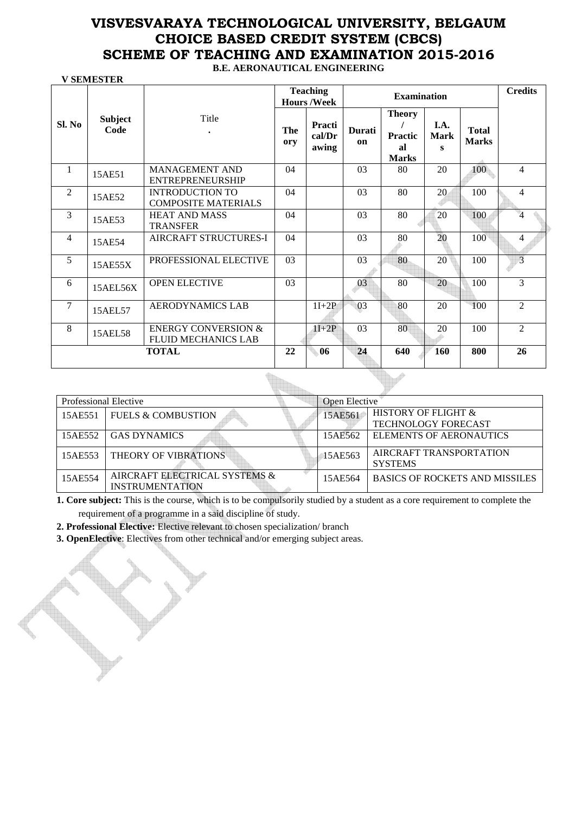**B.E. AERONAUTICAL ENGINEERING** 

|                |                        |                                                              |            | <b>Teaching</b><br><b>Hours/Week</b> |              | <b>Examination</b>                                    |                          |                              | <b>Credits</b> |
|----------------|------------------------|--------------------------------------------------------------|------------|--------------------------------------|--------------|-------------------------------------------------------|--------------------------|------------------------------|----------------|
| Sl. No         | <b>Subject</b><br>Code | Title<br>$\bullet$                                           | The<br>ory | Practi<br>cal/Dr<br>awing            | Durati<br>on | <b>Theory</b><br><b>Practic</b><br>al<br><b>Marks</b> | I.A.<br><b>Mark</b><br>s | <b>Total</b><br><b>Marks</b> |                |
| 1              | 15AE51                 | <b>MANAGEMENT AND</b><br><b>ENTREPRENEURSHIP</b>             | 04         |                                      | 03           | 80                                                    | 20                       | 100                          | 4              |
| $\overline{2}$ | 15AE52                 | <b>INTRODUCTION TO</b><br><b>COMPOSITE MATERIALS</b>         | 04         |                                      | 03           | 80                                                    | 20                       | 100                          | 4              |
| 3              | 15AE53                 | <b>HEAT AND MASS</b><br><b>TRANSFER</b>                      | 04         |                                      | 03           | 80                                                    | 20                       | 100                          | $\overline{4}$ |
| $\overline{4}$ | 15AE54                 | <b>AIRCRAFT STRUCTURES-I</b>                                 | 04         |                                      | 03           | 80                                                    | 20                       | 100                          | 4              |
| 5              | 15AE55X                | PROFESSIONAL ELECTIVE                                        | 03         |                                      | 03           | 80                                                    | 20                       | 100                          | $\overline{3}$ |
| 6              | 15AEL56X               | <b>OPEN ELECTIVE</b>                                         | 03         |                                      | 03           | 80                                                    | 20                       | 100                          | 3              |
| $\overline{7}$ | 15AEL57                | <b>AERODYNAMICS LAB</b>                                      |            | $1I+2P$                              | 03           | 80                                                    | 20                       | 100                          | $\mathfrak{D}$ |
| 8              | 15AEL58                | <b>ENERGY CONVERSION &amp;</b><br><b>FLUID MECHANICS LAB</b> |            | $1I+2P$                              | 03           | 80                                                    | 20                       | 100                          | $\mathfrak{D}$ |
|                |                        | <b>TOTAL</b>                                                 | 22         | 06                                   | 24           | 640                                                   | 160                      | 800                          | 26             |

| Professional Elective |                                                         | Open Elective |                                                              |
|-----------------------|---------------------------------------------------------|---------------|--------------------------------------------------------------|
| 15AE551               | <b>FUELS &amp; COMBUSTION</b>                           | 15AE561       | <b>HISTORY OF FLIGHT &amp;</b><br><b>TECHNOLOGY FORECAST</b> |
| 15AE552               | <b>GAS DYNAMICS</b>                                     | 15AE562       | ELEMENTS OF AERONAUTICS                                      |
| 15AE553               | THEORY OF VIBRATIONS                                    | 15AE563       | AIRCRAFT TRANSPORTATION<br><b>SYSTEMS</b>                    |
| 15AE554               | AIRCRAFT ELECTRICAL SYSTEMS &<br><b>INSTRUMENTATION</b> | 15AE564       | <b>BASICS OF ROCKETS AND MISSILES</b>                        |

**1. Core subject:** This is the course, which is to be compulsorily studied by a student as a core requirement to complete the requirement of a programme in a said discipline of study.

**2. Professional Elective:** Elective relevant to chosen specialization/ branch

 **V SEMESTER** 

**3. OpenElective**: Electives from other technical and/or emerging subject areas.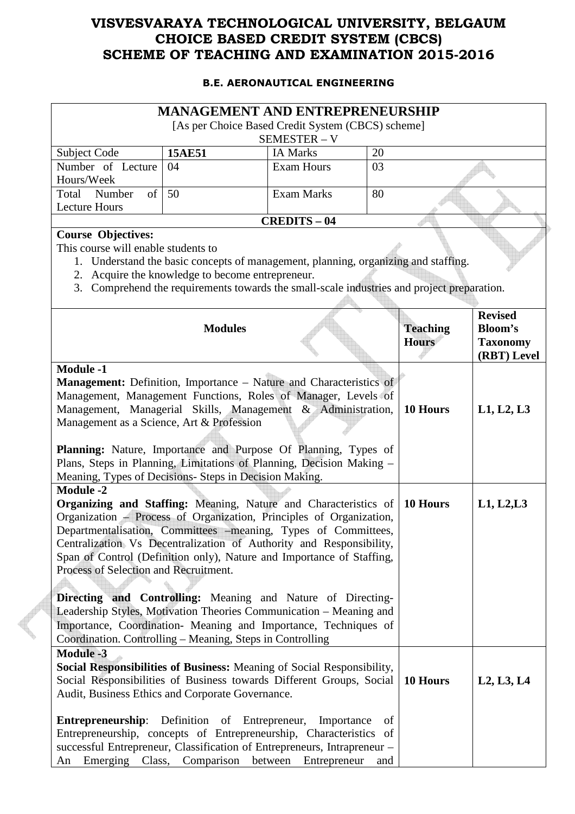#### **B.E. AERONAUTICAL ENGINEERING**

|                                                                                                                                                                                                                                                                                                                                                                                                                                                                                                                                                                                                                                                  | <b>MANAGEMENT AND ENTREPRENEURSHIP</b>                                                                                                                                                                                               |                            |                 |                                 |                                                                    |
|--------------------------------------------------------------------------------------------------------------------------------------------------------------------------------------------------------------------------------------------------------------------------------------------------------------------------------------------------------------------------------------------------------------------------------------------------------------------------------------------------------------------------------------------------------------------------------------------------------------------------------------------------|--------------------------------------------------------------------------------------------------------------------------------------------------------------------------------------------------------------------------------------|----------------------------|-----------------|---------------------------------|--------------------------------------------------------------------|
|                                                                                                                                                                                                                                                                                                                                                                                                                                                                                                                                                                                                                                                  | [As per Choice Based Credit System (CBCS) scheme]                                                                                                                                                                                    |                            |                 |                                 |                                                                    |
|                                                                                                                                                                                                                                                                                                                                                                                                                                                                                                                                                                                                                                                  |                                                                                                                                                                                                                                      | SEMESTER - V               |                 |                                 |                                                                    |
| Subject Code                                                                                                                                                                                                                                                                                                                                                                                                                                                                                                                                                                                                                                     | <b>15AE51</b>                                                                                                                                                                                                                        | <b>IA Marks</b>            | 20              |                                 |                                                                    |
| Number of Lecture<br>Hours/Week                                                                                                                                                                                                                                                                                                                                                                                                                                                                                                                                                                                                                  | 04                                                                                                                                                                                                                                   | <b>Exam Hours</b>          | 03              |                                 |                                                                    |
| Total<br>Number<br>of<br><b>Lecture Hours</b>                                                                                                                                                                                                                                                                                                                                                                                                                                                                                                                                                                                                    | 50                                                                                                                                                                                                                                   | <b>Exam Marks</b>          | 80              |                                 |                                                                    |
|                                                                                                                                                                                                                                                                                                                                                                                                                                                                                                                                                                                                                                                  |                                                                                                                                                                                                                                      | <b>CREDITS - 04</b>        |                 |                                 |                                                                    |
| <b>Course Objectives:</b><br>This course will enable students to                                                                                                                                                                                                                                                                                                                                                                                                                                                                                                                                                                                 | 1. Understand the basic concepts of management, planning, organizing and staffing.<br>2. Acquire the knowledge to become entrepreneur.<br>3. Comprehend the requirements towards the small-scale industries and project preparation. |                            |                 |                                 |                                                                    |
|                                                                                                                                                                                                                                                                                                                                                                                                                                                                                                                                                                                                                                                  | <b>Modules</b>                                                                                                                                                                                                                       |                            |                 | <b>Teaching</b><br><b>Hours</b> | <b>Revised</b><br><b>Bloom's</b><br><b>Taxonomy</b><br>(RBT) Level |
| <b>Module -1</b>                                                                                                                                                                                                                                                                                                                                                                                                                                                                                                                                                                                                                                 |                                                                                                                                                                                                                                      |                            |                 |                                 |                                                                    |
| Management: Definition, Importance - Nature and Characteristics of<br>Management, Management Functions, Roles of Manager, Levels of<br>Management, Managerial Skills, Management & Administration,<br>10 Hours<br>Management as a Science, Art & Profession<br>Planning: Nature, Importance and Purpose Of Planning, Types of<br>Plans, Steps in Planning, Limitations of Planning, Decision Making -<br>Meaning, Types of Decisions- Steps in Decision Making.                                                                                                                                                                                  |                                                                                                                                                                                                                                      |                            |                 |                                 | L1, L2, L3                                                         |
| <b>Module -2</b><br><b>Organizing and Staffing:</b> Meaning, Nature and Characteristics of<br>10 Hours<br>Organization - Process of Organization, Principles of Organization,<br>Departmentalisation, Committees -meaning, Types of Committees,<br>Centralization Vs Decentralization of Authority and Responsibility,<br>Span of Control (Definition only), Nature and Importance of Staffing,<br>Process of Selection and Recruitment.<br>Directing and Controlling: Meaning and Nature of Directing-<br>Leadership Styles, Motivation Theories Communication - Meaning and<br>Importance, Coordination- Meaning and Importance, Techniques of |                                                                                                                                                                                                                                      |                            |                 |                                 | L1, L2, L3                                                         |
| Coordination. Controlling – Meaning, Steps in Controlling<br><b>Module -3</b><br>Social Responsibilities of Business: Meaning of Social Responsibility,<br>Social Responsibilities of Business towards Different Groups, Social<br>Audit, Business Ethics and Corporate Governance.<br><b>Entrepreneurship:</b> Definition of Entrepreneur,<br>Entrepreneurship, concepts of Entrepreneurship, Characteristics<br>successful Entrepreneur, Classification of Entrepreneurs, Intrapreneur -<br>An                                                                                                                                                 | Emerging Class, Comparison between                                                                                                                                                                                                   | Importance<br>Entrepreneur | of<br>of<br>and | 10 Hours                        | L2, L3, L4                                                         |

E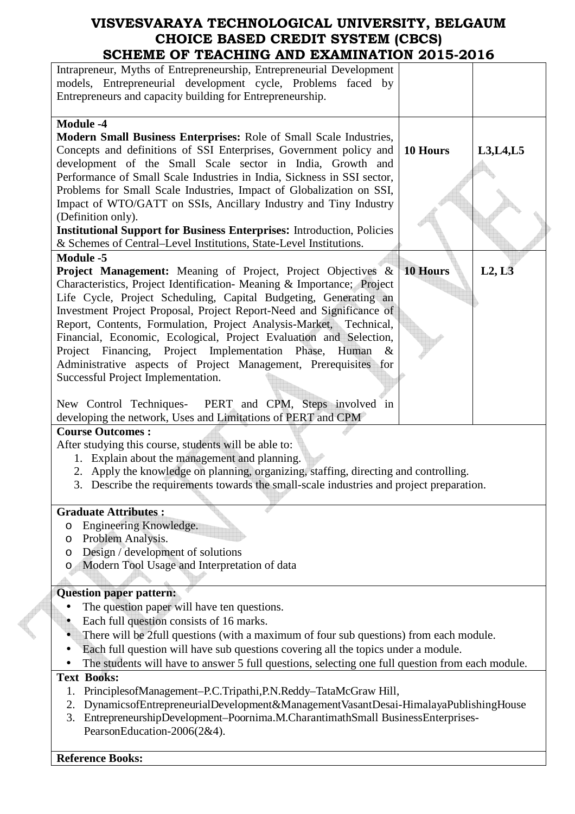| Intrapreneur, Myths of Entrepreneurship, Entrepreneurial Development<br>models, Entrepreneurial development cycle, Problems faced by                                                                                                                                                                                                                                                                                                                                                                                                                                                                                                                                                                                                                                                                                                                                                                                                                                                                                                                                                                                                                                                                                                                                                                                          |
|-------------------------------------------------------------------------------------------------------------------------------------------------------------------------------------------------------------------------------------------------------------------------------------------------------------------------------------------------------------------------------------------------------------------------------------------------------------------------------------------------------------------------------------------------------------------------------------------------------------------------------------------------------------------------------------------------------------------------------------------------------------------------------------------------------------------------------------------------------------------------------------------------------------------------------------------------------------------------------------------------------------------------------------------------------------------------------------------------------------------------------------------------------------------------------------------------------------------------------------------------------------------------------------------------------------------------------|
| Entrepreneurs and capacity building for Entrepreneurship.                                                                                                                                                                                                                                                                                                                                                                                                                                                                                                                                                                                                                                                                                                                                                                                                                                                                                                                                                                                                                                                                                                                                                                                                                                                                     |
|                                                                                                                                                                                                                                                                                                                                                                                                                                                                                                                                                                                                                                                                                                                                                                                                                                                                                                                                                                                                                                                                                                                                                                                                                                                                                                                               |
| <b>Module -4</b><br>Modern Small Business Enterprises: Role of Small Scale Industries,<br>Concepts and definitions of SSI Enterprises, Government policy and<br>10 Hours<br>L3, L4, L5<br>development of the Small Scale sector in India, Growth and<br>Performance of Small Scale Industries in India, Sickness in SSI sector,<br>Problems for Small Scale Industries, Impact of Globalization on SSI,<br>Impact of WTO/GATT on SSIs, Ancillary Industry and Tiny Industry<br>(Definition only).<br><b>Institutional Support for Business Enterprises:</b> Introduction, Policies<br>& Schemes of Central-Level Institutions, State-Level Institutions.<br><b>Module -5</b><br><b>Project Management:</b> Meaning of Project, Project Objectives &<br><b>10 Hours</b><br>L2, L3<br>Characteristics, Project Identification- Meaning & Importance; Project<br>Life Cycle, Project Scheduling, Capital Budgeting, Generating an<br>Investment Project Proposal, Project Report-Need and Significance of<br>Report, Contents, Formulation, Project Analysis-Market, Technical,<br>Financial, Economic, Ecological, Project Evaluation and Selection,<br>Project Financing, Project Implementation Phase, Human<br>$\&$<br>Administrative aspects of Project Management, Prerequisites for<br>Successful Project Implementation. |
| PERT and CPM, Steps involved in<br>New Control Techniques-                                                                                                                                                                                                                                                                                                                                                                                                                                                                                                                                                                                                                                                                                                                                                                                                                                                                                                                                                                                                                                                                                                                                                                                                                                                                    |
|                                                                                                                                                                                                                                                                                                                                                                                                                                                                                                                                                                                                                                                                                                                                                                                                                                                                                                                                                                                                                                                                                                                                                                                                                                                                                                                               |
| developing the network, Uses and Limitations of PERT and CPM<br><b>Course Outcomes:</b>                                                                                                                                                                                                                                                                                                                                                                                                                                                                                                                                                                                                                                                                                                                                                                                                                                                                                                                                                                                                                                                                                                                                                                                                                                       |
| After studying this course, students will be able to:<br>1. Explain about the management and planning.<br>2. Apply the knowledge on planning, organizing, staffing, directing and controlling.<br>3. Describe the requirements towards the small-scale industries and project preparation.                                                                                                                                                                                                                                                                                                                                                                                                                                                                                                                                                                                                                                                                                                                                                                                                                                                                                                                                                                                                                                    |
| <b>Graduate Attributes:</b>                                                                                                                                                                                                                                                                                                                                                                                                                                                                                                                                                                                                                                                                                                                                                                                                                                                                                                                                                                                                                                                                                                                                                                                                                                                                                                   |
| Engineering Knowledge.<br>O                                                                                                                                                                                                                                                                                                                                                                                                                                                                                                                                                                                                                                                                                                                                                                                                                                                                                                                                                                                                                                                                                                                                                                                                                                                                                                   |
| Problem Analysis.<br>O                                                                                                                                                                                                                                                                                                                                                                                                                                                                                                                                                                                                                                                                                                                                                                                                                                                                                                                                                                                                                                                                                                                                                                                                                                                                                                        |
| Design / development of solutions<br>O                                                                                                                                                                                                                                                                                                                                                                                                                                                                                                                                                                                                                                                                                                                                                                                                                                                                                                                                                                                                                                                                                                                                                                                                                                                                                        |
| Modern Tool Usage and Interpretation of data<br>O                                                                                                                                                                                                                                                                                                                                                                                                                                                                                                                                                                                                                                                                                                                                                                                                                                                                                                                                                                                                                                                                                                                                                                                                                                                                             |
|                                                                                                                                                                                                                                                                                                                                                                                                                                                                                                                                                                                                                                                                                                                                                                                                                                                                                                                                                                                                                                                                                                                                                                                                                                                                                                                               |
| <b>Question paper pattern:</b>                                                                                                                                                                                                                                                                                                                                                                                                                                                                                                                                                                                                                                                                                                                                                                                                                                                                                                                                                                                                                                                                                                                                                                                                                                                                                                |
| The question paper will have ten questions.<br>Each full question consists of 16 marks.                                                                                                                                                                                                                                                                                                                                                                                                                                                                                                                                                                                                                                                                                                                                                                                                                                                                                                                                                                                                                                                                                                                                                                                                                                       |
|                                                                                                                                                                                                                                                                                                                                                                                                                                                                                                                                                                                                                                                                                                                                                                                                                                                                                                                                                                                                                                                                                                                                                                                                                                                                                                                               |
| There will be 2full questions (with a maximum of four sub questions) from each module.                                                                                                                                                                                                                                                                                                                                                                                                                                                                                                                                                                                                                                                                                                                                                                                                                                                                                                                                                                                                                                                                                                                                                                                                                                        |
| Each full question will have sub questions covering all the topics under a module.                                                                                                                                                                                                                                                                                                                                                                                                                                                                                                                                                                                                                                                                                                                                                                                                                                                                                                                                                                                                                                                                                                                                                                                                                                            |
| The students will have to answer 5 full questions, selecting one full question from each module.                                                                                                                                                                                                                                                                                                                                                                                                                                                                                                                                                                                                                                                                                                                                                                                                                                                                                                                                                                                                                                                                                                                                                                                                                              |
| <b>Text Books:</b>                                                                                                                                                                                                                                                                                                                                                                                                                                                                                                                                                                                                                                                                                                                                                                                                                                                                                                                                                                                                                                                                                                                                                                                                                                                                                                            |
| PrinciplesofManagement-P.C.Tripathi, P.N.Reddy-TataMcGraw Hill,<br>1.<br>DynamicsofEntrepreneurialDevelopment&ManagementVasantDesai-HimalayaPublishingHouse<br>2.<br>3. EntrepreneurshipDevelopment-Poornima.M.CharantimathSmall BusinessEnterprises-<br>PearsonEducation-2006(2&4).                                                                                                                                                                                                                                                                                                                                                                                                                                                                                                                                                                                                                                                                                                                                                                                                                                                                                                                                                                                                                                          |
| <b>Reference Books:</b>                                                                                                                                                                                                                                                                                                                                                                                                                                                                                                                                                                                                                                                                                                                                                                                                                                                                                                                                                                                                                                                                                                                                                                                                                                                                                                       |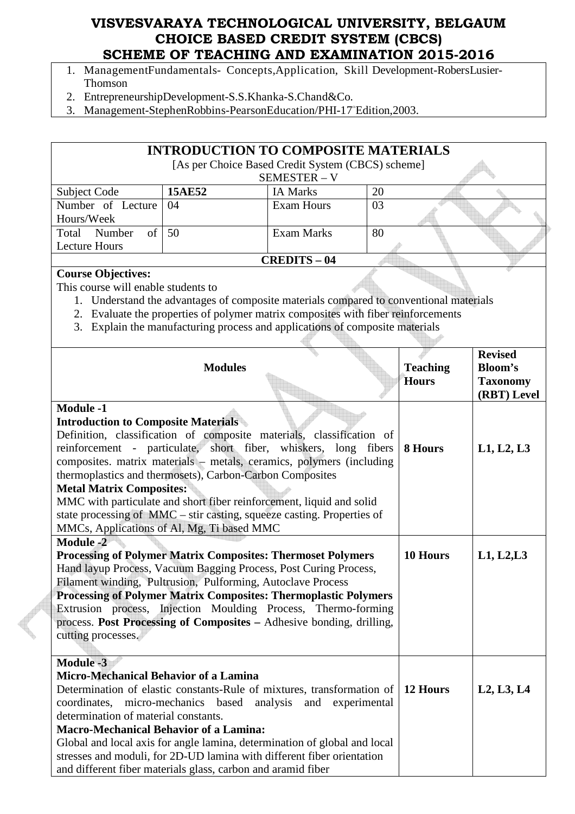- 1. ManagementFundamentals- Concepts,Application, Skill Development-RobersLusier-Thomson
- 2. EntrepreneurshipDevelopment-S.S.Khanka-S.Chand&Co.
- 3. Management-StephenRobbins-PearsonEducation/PHI-17 Edition,2003.

|                                                              |                | <b>INTRODUCTION TO COMPOSITE MATERIALS</b>                                             |    |                 |                 |
|--------------------------------------------------------------|----------------|----------------------------------------------------------------------------------------|----|-----------------|-----------------|
|                                                              |                | [As per Choice Based Credit System (CBCS) scheme]                                      |    |                 |                 |
|                                                              |                | SEMESTER - V                                                                           |    |                 |                 |
| Subject Code                                                 | 15AE52         | <b>IA Marks</b>                                                                        | 20 |                 |                 |
| Number of Lecture<br>Hours/Week                              | 04             | <b>Exam Hours</b>                                                                      | 03 |                 |                 |
| Number<br>$\sigma$<br>Total                                  | 50             | <b>Exam Marks</b>                                                                      | 80 |                 |                 |
| <b>Lecture Hours</b>                                         |                |                                                                                        |    |                 |                 |
|                                                              |                | <b>CREDITS - 04</b>                                                                    |    |                 |                 |
| <b>Course Objectives:</b>                                    |                |                                                                                        |    |                 |                 |
| This course will enable students to                          |                |                                                                                        |    |                 |                 |
|                                                              |                | 1. Understand the advantages of composite materials compared to conventional materials |    |                 |                 |
|                                                              |                | 2. Evaluate the properties of polymer matrix composites with fiber reinforcements      |    |                 |                 |
|                                                              |                | 3. Explain the manufacturing process and applications of composite materials           |    |                 |                 |
|                                                              |                |                                                                                        |    |                 |                 |
|                                                              |                |                                                                                        |    |                 | <b>Revised</b>  |
|                                                              | <b>Modules</b> |                                                                                        |    | <b>Teaching</b> | <b>Bloom's</b>  |
|                                                              |                |                                                                                        |    | <b>Hours</b>    | <b>Taxonomy</b> |
| <b>Module -1</b>                                             |                |                                                                                        |    |                 | (RBT) Level     |
|                                                              |                |                                                                                        |    |                 |                 |
| <b>Introduction to Composite Materials</b>                   |                |                                                                                        |    |                 |                 |
|                                                              |                | Definition, classification of composite materials, classification of                   |    | 8 Hours         |                 |
|                                                              |                | reinforcement - particulate, short fiber, whiskers, long fibers                        |    |                 | L1, L2, L3      |
| thermoplastics and thermosets), Carbon-Carbon Composites     |                | composites. matrix materials - metals, ceramics, polymers (including                   |    |                 |                 |
| <b>Metal Matrix Composites:</b>                              |                |                                                                                        |    |                 |                 |
|                                                              |                | MMC with particulate and short fiber reinforcement, liquid and solid                   |    |                 |                 |
|                                                              |                | state processing of $MMC - \text{stir casting}$ , squeeze casting. Properties of       |    |                 |                 |
| MMCs, Applications of Al, Mg, Ti based MMC                   |                |                                                                                        |    |                 |                 |
| <b>Module -2</b>                                             |                |                                                                                        |    |                 |                 |
|                                                              |                | <b>Processing of Polymer Matrix Composites: Thermoset Polymers</b>                     |    | 10 Hours        | L1, L2, L3      |
|                                                              |                | Hand layup Process, Vacuum Bagging Process, Post Curing Process,                       |    |                 |                 |
|                                                              |                | Filament winding, Pultrusion, Pulforming, Autoclave Process                            |    |                 |                 |
|                                                              |                | <b>Processing of Polymer Matrix Composites: Thermoplastic Polymers</b>                 |    |                 |                 |
|                                                              |                | Extrusion process, Injection Moulding Process, Thermo-forming                          |    |                 |                 |
|                                                              |                | process. Post Processing of Composites - Adhesive bonding, drilling,                   |    |                 |                 |
| cutting processes.                                           |                |                                                                                        |    |                 |                 |
|                                                              |                |                                                                                        |    |                 |                 |
| <b>Module -3</b>                                             |                |                                                                                        |    |                 |                 |
| <b>Micro-Mechanical Behavior of a Lamina</b>                 |                |                                                                                        |    |                 |                 |
|                                                              |                | Determination of elastic constants-Rule of mixtures, transformation of                 |    | 12 Hours        | L2, L3, L4      |
| coordinates, micro-mechanics based                           |                | analysis<br>and experimental                                                           |    |                 |                 |
| determination of material constants.                         |                |                                                                                        |    |                 |                 |
| <b>Macro-Mechanical Behavior of a Lamina:</b>                |                |                                                                                        |    |                 |                 |
|                                                              |                | Global and local axis for angle lamina, determination of global and local              |    |                 |                 |
|                                                              |                | stresses and moduli, for 2D-UD lamina with different fiber orientation                 |    |                 |                 |
| and different fiber materials glass, carbon and aramid fiber |                |                                                                                        |    |                 |                 |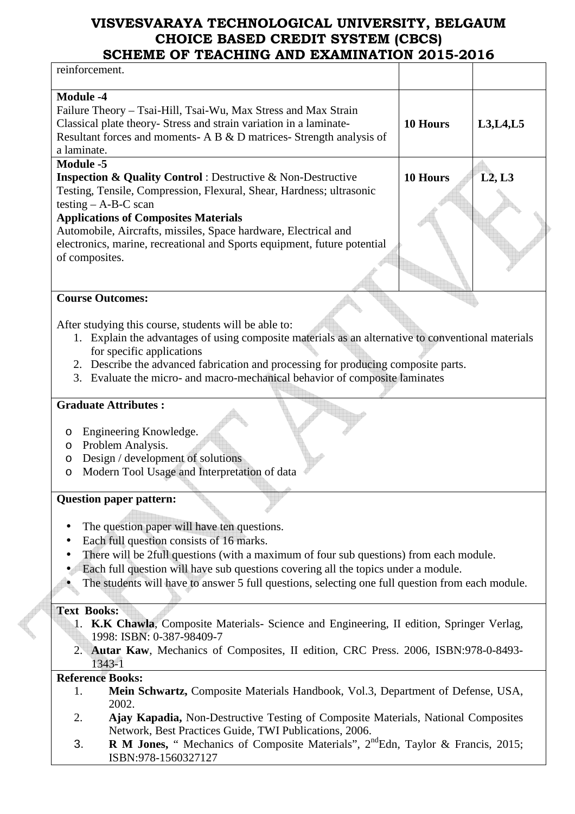| SCHEME OF TEACHING AND EAAMHNATION 2013-2010                                                       |                 |            |
|----------------------------------------------------------------------------------------------------|-----------------|------------|
| reinforcement.                                                                                     |                 |            |
| <b>Module -4</b>                                                                                   |                 |            |
| Failure Theory - Tsai-Hill, Tsai-Wu, Max Stress and Max Strain                                     |                 |            |
| Classical plate theory- Stress and strain variation in a laminate-                                 | 10 Hours        | L3, L4, L5 |
| Resultant forces and moments- A B & D matrices- Strength analysis of                               |                 |            |
| a laminate.                                                                                        |                 |            |
|                                                                                                    |                 |            |
| <b>Module -5</b>                                                                                   |                 |            |
| <b>Inspection &amp; Quality Control</b> : Destructive & Non-Destructive                            | <b>10 Hours</b> | L2, L3     |
| Testing, Tensile, Compression, Flexural, Shear, Hardness; ultrasonic                               |                 |            |
| testing $- A-B-C$ scan                                                                             |                 |            |
| <b>Applications of Composites Materials</b>                                                        |                 |            |
| Automobile, Aircrafts, missiles, Space hardware, Electrical and                                    |                 |            |
| electronics, marine, recreational and Sports equipment, future potential                           |                 |            |
| of composites.                                                                                     |                 |            |
|                                                                                                    |                 |            |
|                                                                                                    |                 |            |
| <b>Course Outcomes:</b>                                                                            |                 |            |
|                                                                                                    |                 |            |
| After studying this course, students will be able to:                                              |                 |            |
| 1. Explain the advantages of using composite materials as an alternative to conventional materials |                 |            |
| for specific applications                                                                          |                 |            |
| 2. Describe the advanced fabrication and processing for producing composite parts.                 |                 |            |
| 3. Evaluate the micro- and macro-mechanical behavior of composite laminates                        |                 |            |
|                                                                                                    |                 |            |
| <b>Graduate Attributes:</b>                                                                        |                 |            |
|                                                                                                    |                 |            |
| Engineering Knowledge.<br>O                                                                        |                 |            |
| Problem Analysis.<br>O                                                                             |                 |            |
| Design / development of solutions<br>O                                                             |                 |            |
| Modern Tool Usage and Interpretation of data<br>O                                                  |                 |            |
|                                                                                                    |                 |            |
| <b>Question paper pattern:</b>                                                                     |                 |            |
|                                                                                                    |                 |            |
| The question paper will have ten questions.                                                        |                 |            |
| ٠                                                                                                  |                 |            |
| Each full question consists of 16 marks.                                                           |                 |            |
| There will be 2full questions (with a maximum of four sub questions) from each module.             |                 |            |
| Each full question will have sub questions covering all the topics under a module.                 |                 |            |
| The students will have to answer 5 full questions, selecting one full question from each module.   |                 |            |
|                                                                                                    |                 |            |
| <b>Text Books:</b>                                                                                 |                 |            |
| 1. K.K Chawla, Composite Materials- Science and Engineering, II edition, Springer Verlag,          |                 |            |
| 1998: ISBN: 0-387-98409-7                                                                          |                 |            |
| 2. Autar Kaw, Mechanics of Composites, II edition, CRC Press. 2006, ISBN:978-0-8493-               |                 |            |
| 1343-1                                                                                             |                 |            |
| <b>Reference Books:</b>                                                                            |                 |            |
| Mein Schwartz, Composite Materials Handbook, Vol.3, Department of Defense, USA,<br>1.              |                 |            |
| 2002.                                                                                              |                 |            |
| Ajay Kapadia, Non-Destructive Testing of Composite Materials, National Composites<br>2.            |                 |            |
| Network, Best Practices Guide, TWI Publications, 2006.                                             |                 |            |
| R M Jones, " Mechanics of Composite Materials", 2 <sup>nd</sup> Edn, Taylor & Francis, 2015;<br>3. |                 |            |

ISBN:978-1560327127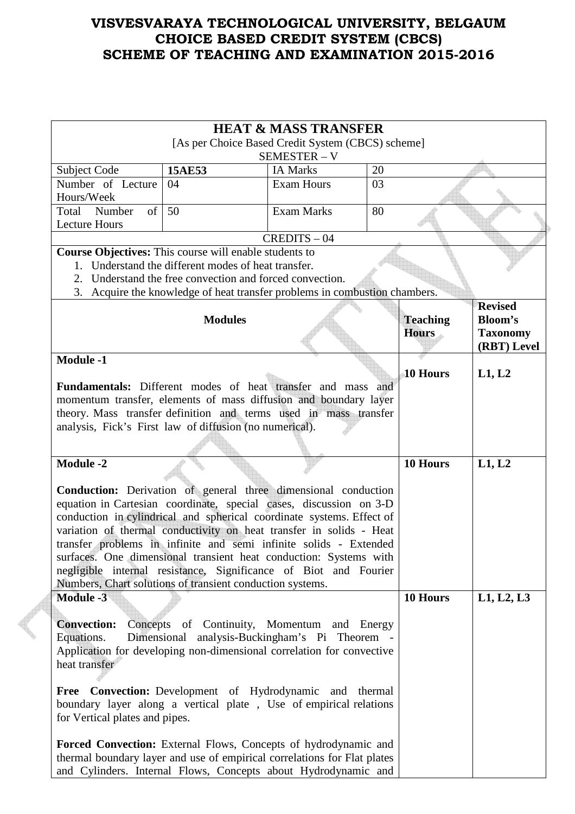|                                                                                                                                                                                                                                                                                                                                                                                                                                                                                                                                                                                                                        |                | <b>HEAT &amp; MASS TRANSFER</b><br>[As per Choice Based Credit System (CBCS) scheme] |                                 |                                                                    |
|------------------------------------------------------------------------------------------------------------------------------------------------------------------------------------------------------------------------------------------------------------------------------------------------------------------------------------------------------------------------------------------------------------------------------------------------------------------------------------------------------------------------------------------------------------------------------------------------------------------------|----------------|--------------------------------------------------------------------------------------|---------------------------------|--------------------------------------------------------------------|
|                                                                                                                                                                                                                                                                                                                                                                                                                                                                                                                                                                                                                        |                | SEMESTER-V                                                                           |                                 |                                                                    |
| Subject Code                                                                                                                                                                                                                                                                                                                                                                                                                                                                                                                                                                                                           | <b>15AE53</b>  | <b>IA Marks</b>                                                                      | 20                              |                                                                    |
| Number of Lecture<br>Hours/Week                                                                                                                                                                                                                                                                                                                                                                                                                                                                                                                                                                                        | 04             | <b>Exam Hours</b>                                                                    | 03                              |                                                                    |
| Number<br>of<br>Total<br><b>Lecture Hours</b>                                                                                                                                                                                                                                                                                                                                                                                                                                                                                                                                                                          | 50             | <b>Exam Marks</b>                                                                    | 80                              |                                                                    |
|                                                                                                                                                                                                                                                                                                                                                                                                                                                                                                                                                                                                                        |                | $CREDITS - 04$                                                                       |                                 |                                                                    |
| <b>Course Objectives:</b> This course will enable students to                                                                                                                                                                                                                                                                                                                                                                                                                                                                                                                                                          |                |                                                                                      |                                 |                                                                    |
| 1. Understand the different modes of heat transfer.                                                                                                                                                                                                                                                                                                                                                                                                                                                                                                                                                                    |                |                                                                                      |                                 |                                                                    |
|                                                                                                                                                                                                                                                                                                                                                                                                                                                                                                                                                                                                                        |                | 2. Understand the free convection and forced convection.                             |                                 |                                                                    |
|                                                                                                                                                                                                                                                                                                                                                                                                                                                                                                                                                                                                                        |                | 3. Acquire the knowledge of heat transfer problems in combustion chambers.           |                                 |                                                                    |
|                                                                                                                                                                                                                                                                                                                                                                                                                                                                                                                                                                                                                        | <b>Modules</b> |                                                                                      | <b>Teaching</b><br><b>Hours</b> | <b>Revised</b><br><b>Bloom's</b><br><b>Taxonomy</b><br>(RBT) Level |
| <b>Module -1</b>                                                                                                                                                                                                                                                                                                                                                                                                                                                                                                                                                                                                       |                |                                                                                      |                                 |                                                                    |
|                                                                                                                                                                                                                                                                                                                                                                                                                                                                                                                                                                                                                        |                |                                                                                      | 10 Hours                        | L1, L2                                                             |
|                                                                                                                                                                                                                                                                                                                                                                                                                                                                                                                                                                                                                        |                | <b>Fundamentals:</b> Different modes of heat transfer and mass and                   |                                 |                                                                    |
|                                                                                                                                                                                                                                                                                                                                                                                                                                                                                                                                                                                                                        |                | momentum transfer, elements of mass diffusion and boundary layer                     |                                 |                                                                    |
|                                                                                                                                                                                                                                                                                                                                                                                                                                                                                                                                                                                                                        |                | theory. Mass transfer definition and terms used in mass transfer                     |                                 |                                                                    |
| analysis, Fick's First law of diffusion (no numerical).                                                                                                                                                                                                                                                                                                                                                                                                                                                                                                                                                                |                |                                                                                      |                                 |                                                                    |
|                                                                                                                                                                                                                                                                                                                                                                                                                                                                                                                                                                                                                        |                |                                                                                      |                                 |                                                                    |
| <b>Module -2</b>                                                                                                                                                                                                                                                                                                                                                                                                                                                                                                                                                                                                       |                |                                                                                      | 10 Hours                        | L1, L2                                                             |
| <b>Conduction:</b> Derivation of general three dimensional conduction<br>equation in Cartesian coordinate, special cases, discussion on 3-D<br>conduction in cylindrical and spherical coordinate systems. Effect of<br>variation of thermal conductivity on heat transfer in solids - Heat<br>transfer problems in infinite and semi infinite solids - Extended<br>surfaces. One dimensional transient heat conduction: Systems with<br>negligible internal resistance, Significance of Biot and Fourier<br>Numbers, Chart solutions of transient conduction systems.                                                 |                |                                                                                      |                                 |                                                                    |
| <b>Module -3</b>                                                                                                                                                                                                                                                                                                                                                                                                                                                                                                                                                                                                       |                |                                                                                      | 10 Hours                        | L1, L2, L3                                                         |
| Concepts of Continuity, Momentum and Energy<br><b>Convection:</b><br>Dimensional analysis-Buckingham's Pi Theorem -<br>Equations.<br>Application for developing non-dimensional correlation for convective<br>heat transfer<br><b>Free Convection:</b> Development of Hydrodynamic and thermal<br>boundary layer along a vertical plate, Use of empirical relations<br>for Vertical plates and pipes.<br>Forced Convection: External Flows, Concepts of hydrodynamic and<br>thermal boundary layer and use of empirical correlations for Flat plates<br>and Cylinders. Internal Flows, Concepts about Hydrodynamic and |                |                                                                                      |                                 |                                                                    |

 $\epsilon$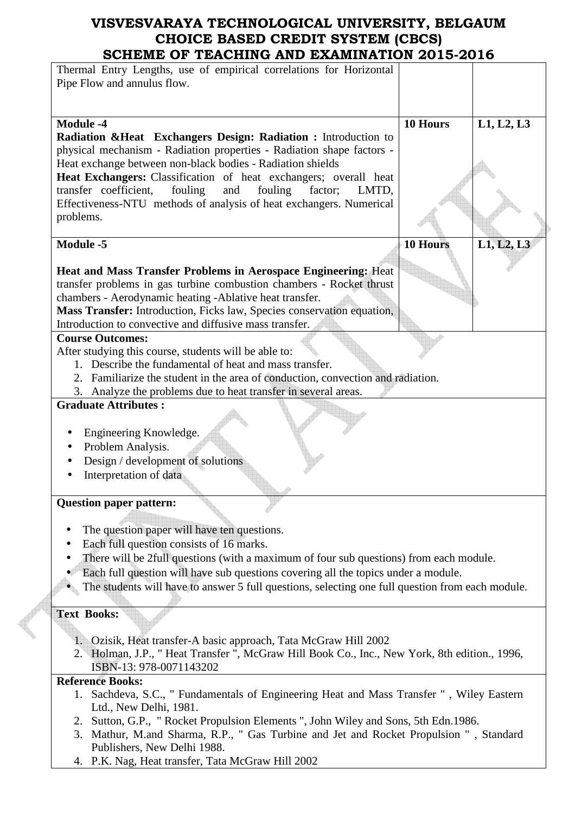| SCHEME OF TEACHING AND EAAMINATION 2013-2010                                                     |                 |            |
|--------------------------------------------------------------------------------------------------|-----------------|------------|
| Thermal Entry Lengths, use of empirical correlations for Horizontal                              |                 |            |
| Pipe Flow and annulus flow.                                                                      |                 |            |
|                                                                                                  |                 |            |
|                                                                                                  |                 |            |
|                                                                                                  |                 |            |
| <b>Module -4</b>                                                                                 | 10 Hours        | L1, L2, L3 |
| Radiation & Heat Exchangers Design: Radiation : Introduction to                                  |                 |            |
| physical mechanism - Radiation properties - Radiation shape factors -                            |                 |            |
| Heat exchange between non-black bodies - Radiation shields                                       |                 |            |
| Heat Exchangers: Classification of heat exchangers; overall heat                                 |                 |            |
| transfer coefficient,<br>fouling<br>and<br>fouling<br>factor;<br>LMTD,                           |                 |            |
| Effectiveness-NTU methods of analysis of heat exchangers. Numerical                              |                 |            |
|                                                                                                  |                 |            |
| problems.                                                                                        |                 |            |
|                                                                                                  |                 |            |
| <b>Module -5</b>                                                                                 | <b>10 Hours</b> | L1, L2, L3 |
|                                                                                                  |                 |            |
| <b>Heat and Mass Transfer Problems in Aerospace Engineering: Heat</b>                            |                 |            |
| transfer problems in gas turbine combustion chambers - Rocket thrust                             |                 |            |
|                                                                                                  |                 |            |
| chambers - Aerodynamic heating - Ablative heat transfer.                                         |                 |            |
| Mass Transfer: Introduction, Ficks law, Species conservation equation,                           |                 |            |
| Introduction to convective and diffusive mass transfer.                                          |                 |            |
| <b>Course Outcomes:</b>                                                                          |                 |            |
| After studying this course, students will be able to:                                            |                 |            |
| 1. Describe the fundamental of heat and mass transfer.                                           |                 |            |
|                                                                                                  |                 |            |
| 2. Familiarize the student in the area of conduction, convection and radiation.                  |                 |            |
| 3. Analyze the problems due to heat transfer in several areas.                                   |                 |            |
| <b>Graduate Attributes:</b>                                                                      |                 |            |
|                                                                                                  |                 |            |
| Engineering Knowledge.                                                                           |                 |            |
|                                                                                                  |                 |            |
| Problem Analysis.                                                                                |                 |            |
| Design / development of solutions                                                                |                 |            |
| Interpretation of data                                                                           |                 |            |
|                                                                                                  |                 |            |
| <b>Question paper pattern:</b>                                                                   |                 |            |
|                                                                                                  |                 |            |
|                                                                                                  |                 |            |
| The question paper will have ten questions.                                                      |                 |            |
| Each full question consists of 16 marks.                                                         |                 |            |
| There will be 2full questions (with a maximum of four sub questions) from each module.           |                 |            |
| Each full question will have sub questions covering all the topics under a module.               |                 |            |
|                                                                                                  |                 |            |
| The students will have to answer 5 full questions, selecting one full question from each module. |                 |            |
|                                                                                                  |                 |            |
| <b>Text Books:</b>                                                                               |                 |            |
|                                                                                                  |                 |            |
| 1. Ozisik, Heat transfer-A basic approach, Tata McGraw Hill 2002.                                |                 |            |
| 2. Holman, J.P., "Heat Transfer ", McGraw Hill Book Co., Inc., New York, 8th edition., 1996,     |                 |            |
| ISBN-13: 978-0071143202                                                                          |                 |            |
|                                                                                                  |                 |            |
| <b>Reference Books:</b>                                                                          |                 |            |
| 1. Sachdeva, S.C., " Fundamentals of Engineering Heat and Mass Transfer ", Wiley Eastern         |                 |            |
| Ltd., New Delhi, 1981.                                                                           |                 |            |
| 2. Sutton, G.P., "Rocket Propulsion Elements", John Wiley and Sons, 5th Edn. 1986.               |                 |            |
| 3. Mathur, M.and Sharma, R.P., " Gas Turbine and Jet and Rocket Propulsion ", Standard           |                 |            |
|                                                                                                  |                 |            |
| Publishers, New Delhi 1988.                                                                      |                 |            |
| 4. P.K. Nag, Heat transfer, Tata McGraw Hill 2002                                                |                 |            |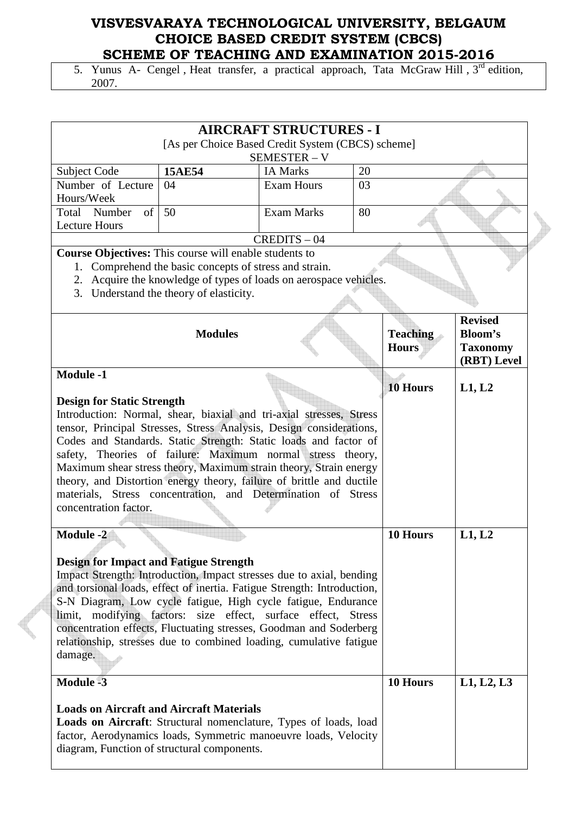5. Yunus A- Cengel, Heat transfer, a practical approach, Tata McGraw Hill, 3<sup>rd</sup> edition, 2007.

|                                                                                                                                                                                                                                                                                                                                                                                                                                                                                                                                                         |                                                                                                                                                                     | <b>AIRCRAFT STRUCTURES - I</b><br>[As per Choice Based Credit System (CBCS) scheme] |                                                                    |                 |            |  |
|---------------------------------------------------------------------------------------------------------------------------------------------------------------------------------------------------------------------------------------------------------------------------------------------------------------------------------------------------------------------------------------------------------------------------------------------------------------------------------------------------------------------------------------------------------|---------------------------------------------------------------------------------------------------------------------------------------------------------------------|-------------------------------------------------------------------------------------|--------------------------------------------------------------------|-----------------|------------|--|
|                                                                                                                                                                                                                                                                                                                                                                                                                                                                                                                                                         |                                                                                                                                                                     | SEMESTER - V<br><b>IA Marks</b>                                                     |                                                                    |                 |            |  |
| <b>Subject Code</b><br>Number of Lecture                                                                                                                                                                                                                                                                                                                                                                                                                                                                                                                | <b>15AE54</b><br>04                                                                                                                                                 | <b>Exam Hours</b>                                                                   | 20<br>03                                                           |                 |            |  |
| Hours/Week                                                                                                                                                                                                                                                                                                                                                                                                                                                                                                                                              |                                                                                                                                                                     |                                                                                     |                                                                    |                 |            |  |
| Total Number<br>of<br><b>Lecture Hours</b>                                                                                                                                                                                                                                                                                                                                                                                                                                                                                                              | 50                                                                                                                                                                  | <b>Exam Marks</b>                                                                   | 80                                                                 |                 |            |  |
|                                                                                                                                                                                                                                                                                                                                                                                                                                                                                                                                                         | $CREDITS - 04$                                                                                                                                                      |                                                                                     |                                                                    |                 |            |  |
| Course Objectives: This course will enable students to<br>3.                                                                                                                                                                                                                                                                                                                                                                                                                                                                                            | 1. Comprehend the basic concepts of stress and strain.<br>2. Acquire the knowledge of types of loads on aerospace vehicles.<br>Understand the theory of elasticity. |                                                                                     |                                                                    |                 |            |  |
|                                                                                                                                                                                                                                                                                                                                                                                                                                                                                                                                                         |                                                                                                                                                                     | <b>Teaching</b><br><b>Hours</b>                                                     | <b>Revised</b><br><b>Bloom's</b><br><b>Taxonomy</b><br>(RBT) Level |                 |            |  |
| <b>Module -1</b>                                                                                                                                                                                                                                                                                                                                                                                                                                                                                                                                        |                                                                                                                                                                     |                                                                                     |                                                                    | <b>10 Hours</b> | L1, L2     |  |
| <b>Design for Static Strength</b><br>Introduction: Normal, shear, biaxial and tri-axial stresses, Stress<br>tensor, Principal Stresses, Stress Analysis, Design considerations,<br>Codes and Standards. Static Strength: Static loads and factor of<br>safety, Theories of failure: Maximum normal stress theory,<br>Maximum shear stress theory, Maximum strain theory, Strain energy<br>theory, and Distortion energy theory, failure of brittle and ductile<br>materials, Stress concentration, and Determination of Stress<br>concentration factor. |                                                                                                                                                                     |                                                                                     |                                                                    |                 |            |  |
| <b>Module -2</b><br><b>Design for Impact and Fatigue Strength</b><br>Impact Strength: Introduction, Impact stresses due to axial, bending<br>and torsional loads, effect of inertia. Fatigue Strength: Introduction,<br>S-N Diagram, Low cycle fatigue, High cycle fatigue, Endurance<br>limit, modifying factors: size effect, surface effect, Stress<br>concentration effects, Fluctuating stresses, Goodman and Soderberg<br>relationship, stresses due to combined loading, cumulative fatigue<br>damage.<br><b>Module -3</b>                       |                                                                                                                                                                     |                                                                                     |                                                                    | 10 Hours        | L1, L2     |  |
| <b>Loads on Aircraft and Aircraft Materials</b><br>Loads on Aircraft: Structural nomenclature, Types of loads, load<br>factor, Aerodynamics loads, Symmetric manoeuvre loads, Velocity<br>diagram, Function of structural components.                                                                                                                                                                                                                                                                                                                   |                                                                                                                                                                     |                                                                                     |                                                                    | 10 Hours        | L1, L2, L3 |  |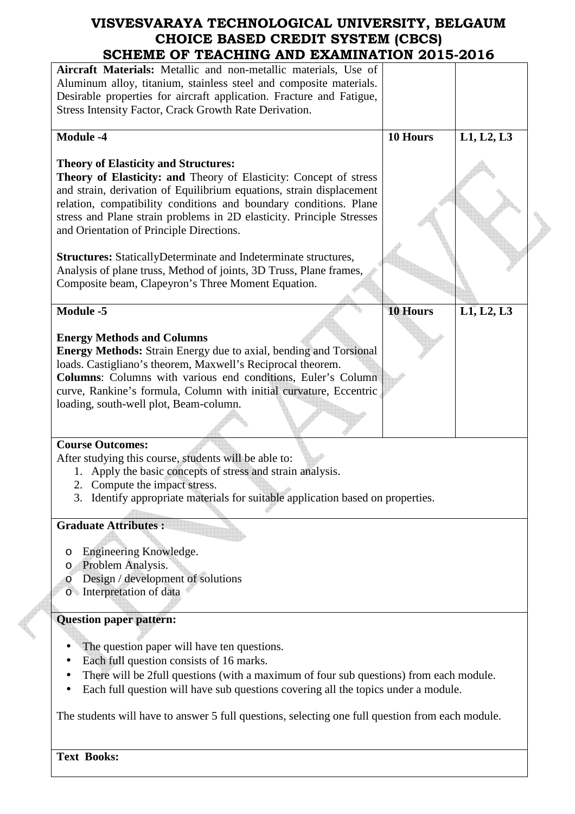| SCHEME OF TEACHING AND EXAMINATION 2015-2016                                                     |                 |            |  |
|--------------------------------------------------------------------------------------------------|-----------------|------------|--|
| Aircraft Materials: Metallic and non-metallic materials, Use of                                  |                 |            |  |
| Aluminum alloy, titanium, stainless steel and composite materials.                               |                 |            |  |
| Desirable properties for aircraft application. Fracture and Fatigue,                             |                 |            |  |
|                                                                                                  |                 |            |  |
| Stress Intensity Factor, Crack Growth Rate Derivation.                                           |                 |            |  |
|                                                                                                  |                 |            |  |
| <b>Module -4</b>                                                                                 | 10 Hours        | L1, L2, L3 |  |
|                                                                                                  |                 |            |  |
| <b>Theory of Elasticity and Structures:</b>                                                      |                 |            |  |
| Theory of Elasticity: and Theory of Elasticity: Concept of stress                                |                 |            |  |
| and strain, derivation of Equilibrium equations, strain displacement                             |                 |            |  |
| relation, compatibility conditions and boundary conditions. Plane                                |                 |            |  |
| stress and Plane strain problems in 2D elasticity. Principle Stresses                            |                 |            |  |
| and Orientation of Principle Directions.                                                         |                 |            |  |
|                                                                                                  |                 |            |  |
| <b>Structures:</b> StaticallyDeterminate and Indeterminate structures,                           |                 |            |  |
| Analysis of plane truss, Method of joints, 3D Truss, Plane frames,                               |                 |            |  |
|                                                                                                  |                 |            |  |
| Composite beam, Clapeyron's Three Moment Equation.                                               |                 |            |  |
|                                                                                                  |                 |            |  |
| <b>Module -5</b>                                                                                 | <b>10 Hours</b> | L1, L2, L3 |  |
|                                                                                                  |                 |            |  |
| <b>Energy Methods and Columns</b>                                                                |                 |            |  |
| <b>Energy Methods:</b> Strain Energy due to axial, bending and Torsional                         |                 |            |  |
| loads. Castigliano's theorem, Maxwell's Reciprocal theorem.                                      |                 |            |  |
| Columns: Columns with various end conditions, Euler's Column                                     |                 |            |  |
| curve, Rankine's formula, Column with initial curvature, Eccentric                               |                 |            |  |
| loading, south-well plot, Beam-column.                                                           |                 |            |  |
|                                                                                                  |                 |            |  |
|                                                                                                  |                 |            |  |
| <b>Course Outcomes:</b>                                                                          |                 |            |  |
| After studying this course, students will be able to:                                            |                 |            |  |
|                                                                                                  |                 |            |  |
| 1. Apply the basic concepts of stress and strain analysis.                                       |                 |            |  |
| 2. Compute the impact stress.                                                                    |                 |            |  |
| 3. Identify appropriate materials for suitable application based on properties.                  |                 |            |  |
|                                                                                                  |                 |            |  |
| <b>Graduate Attributes:</b>                                                                      |                 |            |  |
|                                                                                                  |                 |            |  |
| Engineering Knowledge.<br>O                                                                      |                 |            |  |
| Problem Analysis.<br>O                                                                           |                 |            |  |
| Design / development of solutions<br>$\circ$                                                     |                 |            |  |
| o Interpretation of data                                                                         |                 |            |  |
|                                                                                                  |                 |            |  |
| <b>Question paper pattern:</b>                                                                   |                 |            |  |
|                                                                                                  |                 |            |  |
|                                                                                                  |                 |            |  |
| The question paper will have ten questions.                                                      |                 |            |  |
| Each full question consists of 16 marks.                                                         |                 |            |  |
| There will be 2full questions (with a maximum of four sub questions) from each module.           |                 |            |  |
| Each full question will have sub questions covering all the topics under a module.               |                 |            |  |
|                                                                                                  |                 |            |  |
| The students will have to answer 5 full questions, selecting one full question from each module. |                 |            |  |
|                                                                                                  |                 |            |  |
|                                                                                                  |                 |            |  |

P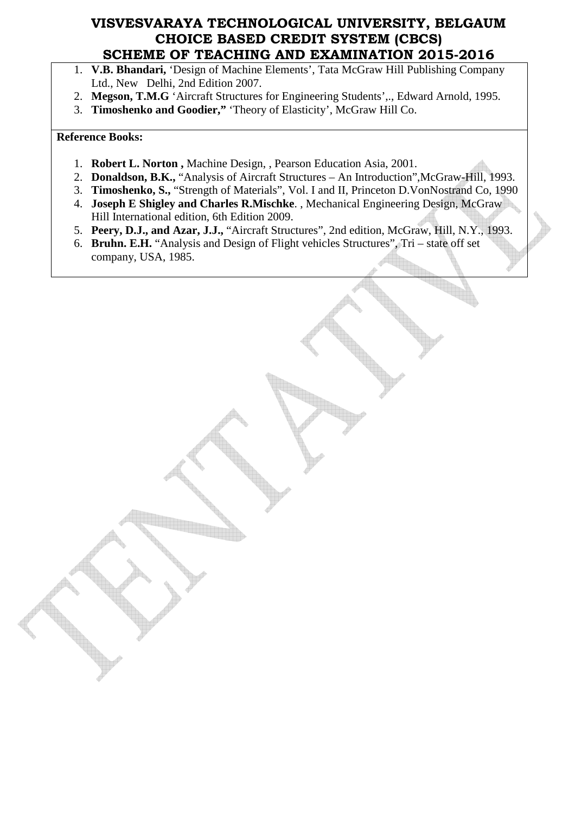- 1. **V.B. Bhandari,** 'Design of Machine Elements', Tata McGraw Hill Publishing Company Ltd., New Delhi, 2nd Edition 2007.
- 2. **Megson, T.M.G** 'Aircraft Structures for Engineering Students',., Edward Arnold, 1995.
- 3. **Timoshenko and Goodier,"** 'Theory of Elasticity', McGraw Hill Co.

#### **Reference Books:**

- 1. **Robert L. Norton ,** Machine Design, , Pearson Education Asia, 2001.
- 2. **Donaldson, B.K.,** "Analysis of Aircraft Structures An Introduction",McGraw-Hill, 1993.
- 3. **Timoshenko, S.,** "Strength of Materials", Vol. I and II, Princeton D.VonNostrand Co, 1990
- 4. **Joseph E Shigley and Charles R.Mischke**. , Mechanical Engineering Design, McGraw Hill International edition, 6th Edition 2009.
- 5. **Peery, D.J., and Azar, J.J.,** "Aircraft Structures", 2nd edition, McGraw, Hill, N.Y., 1993.
- 6. **Bruhn. E.H.** "Analysis and Design of Flight vehicles Structures", Tri state off set company, USA, 1985.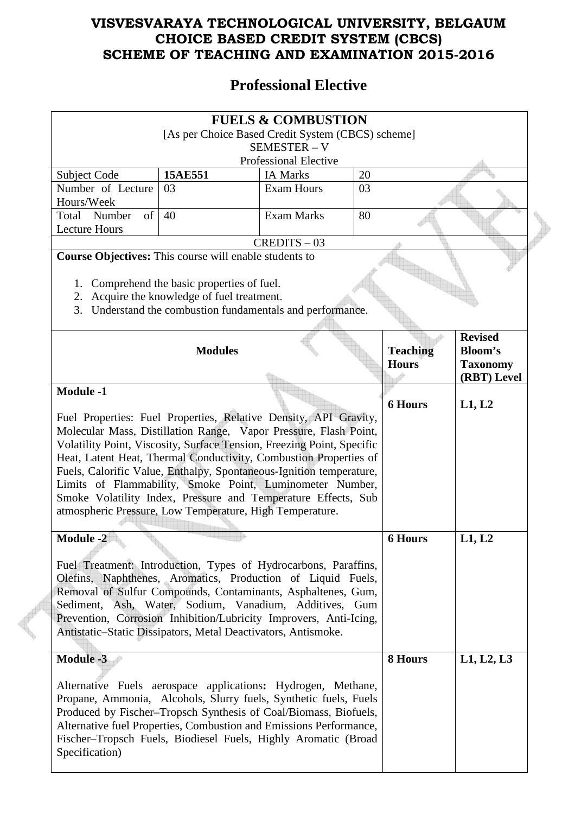## **Professional Elective**

|                                                                                                                                                                                                                                                                                                                                                                                                                                                                                                                                                                                 | [As per Choice Based Credit System (CBCS) scheme]                                                                                               | <b>FUELS &amp; COMBUSTION</b><br><b>SEMESTER - V</b> |    |                                 |                                                                    |  |
|---------------------------------------------------------------------------------------------------------------------------------------------------------------------------------------------------------------------------------------------------------------------------------------------------------------------------------------------------------------------------------------------------------------------------------------------------------------------------------------------------------------------------------------------------------------------------------|-------------------------------------------------------------------------------------------------------------------------------------------------|------------------------------------------------------|----|---------------------------------|--------------------------------------------------------------------|--|
|                                                                                                                                                                                                                                                                                                                                                                                                                                                                                                                                                                                 |                                                                                                                                                 | <b>Professional Elective</b>                         |    |                                 |                                                                    |  |
| Subject Code                                                                                                                                                                                                                                                                                                                                                                                                                                                                                                                                                                    | 15AE551                                                                                                                                         | <b>IA Marks</b>                                      | 20 |                                 |                                                                    |  |
| Number of Lecture<br>Hours/Week                                                                                                                                                                                                                                                                                                                                                                                                                                                                                                                                                 | 03                                                                                                                                              | <b>Exam Hours</b>                                    | 03 |                                 |                                                                    |  |
| Total Number<br>of<br><b>Lecture Hours</b>                                                                                                                                                                                                                                                                                                                                                                                                                                                                                                                                      | 40                                                                                                                                              | <b>Exam Marks</b>                                    | 80 |                                 |                                                                    |  |
|                                                                                                                                                                                                                                                                                                                                                                                                                                                                                                                                                                                 |                                                                                                                                                 | $CREDITS - 03$                                       |    |                                 |                                                                    |  |
| Course Objectives: This course will enable students to<br>1.<br>2.<br>3.                                                                                                                                                                                                                                                                                                                                                                                                                                                                                                        | Comprehend the basic properties of fuel.<br>Acquire the knowledge of fuel treatment.<br>Understand the combustion fundamentals and performance. |                                                      |    |                                 |                                                                    |  |
|                                                                                                                                                                                                                                                                                                                                                                                                                                                                                                                                                                                 | <b>Modules</b>                                                                                                                                  |                                                      |    | <b>Teaching</b><br><b>Hours</b> | <b>Revised</b><br><b>Bloom's</b><br><b>Taxonomy</b><br>(RBT) Level |  |
| <b>Module -1</b>                                                                                                                                                                                                                                                                                                                                                                                                                                                                                                                                                                |                                                                                                                                                 |                                                      |    |                                 |                                                                    |  |
| <b>6 Hours</b><br>L1, L2<br>Fuel Properties: Fuel Properties, Relative Density, API Gravity,<br>Molecular Mass, Distillation Range, Vapor Pressure, Flash Point,<br>Volatility Point, Viscosity, Surface Tension, Freezing Point, Specific<br>Heat, Latent Heat, Thermal Conductivity, Combustion Properties of<br>Fuels, Calorific Value, Enthalpy, Spontaneous-Ignition temperature,<br>Limits of Flammability, Smoke Point, Luminometer Number,<br>Smoke Volatility Index, Pressure and Temperature Effects, Sub<br>atmospheric Pressure, Low Temperature, High Temperature. |                                                                                                                                                 |                                                      |    |                                 |                                                                    |  |
| <b>Module -2</b><br>L1, L2<br><b>6 Hours</b><br>Fuel Treatment: Introduction, Types of Hydrocarbons, Paraffins,<br>Olefins, Naphthenes, Aromatics, Production of Liquid Fuels,<br>Removal of Sulfur Compounds, Contaminants, Asphaltenes, Gum,<br>Sediment, Ash, Water, Sodium, Vanadium, Additives, Gum<br>Prevention, Corrosion Inhibition/Lubricity Improvers, Anti-Icing,<br>Antistatic-Static Dissipators, Metal Deactivators, Antismoke.                                                                                                                                  |                                                                                                                                                 |                                                      |    |                                 |                                                                    |  |
| <b>Module -3</b><br>L1, L2, L3<br>8 Hours<br>Alternative Fuels aerospace applications: Hydrogen, Methane,<br>Propane, Ammonia, Alcohols, Slurry fuels, Synthetic fuels, Fuels<br>Produced by Fischer-Tropsch Synthesis of Coal/Biomass, Biofuels,<br>Alternative fuel Properties, Combustion and Emissions Performance,<br>Fischer-Tropsch Fuels, Biodiesel Fuels, Highly Aromatic (Broad<br>Specification)                                                                                                                                                                     |                                                                                                                                                 |                                                      |    |                                 |                                                                    |  |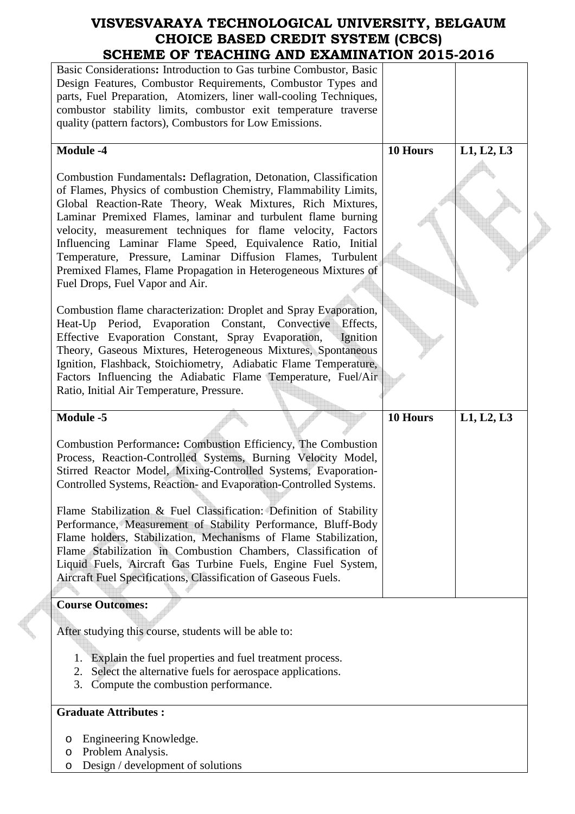| SCHEME OF TEACHING AND EXAMINATION 2015-2016                                                                                                                                                                                                                                                                                                                                                                                                                                                                                                                                                                                                                                         |          |            |  |
|--------------------------------------------------------------------------------------------------------------------------------------------------------------------------------------------------------------------------------------------------------------------------------------------------------------------------------------------------------------------------------------------------------------------------------------------------------------------------------------------------------------------------------------------------------------------------------------------------------------------------------------------------------------------------------------|----------|------------|--|
| Basic Considerations: Introduction to Gas turbine Combustor, Basic<br>Design Features, Combustor Requirements, Combustor Types and<br>parts, Fuel Preparation, Atomizers, liner wall-cooling Techniques,<br>combustor stability limits, combustor exit temperature traverse<br>quality (pattern factors), Combustors for Low Emissions.                                                                                                                                                                                                                                                                                                                                              |          |            |  |
| <b>Module -4</b>                                                                                                                                                                                                                                                                                                                                                                                                                                                                                                                                                                                                                                                                     | 10 Hours | L1, L2, L3 |  |
| Combustion Fundamentals: Deflagration, Detonation, Classification<br>of Flames, Physics of combustion Chemistry, Flammability Limits,<br>Global Reaction-Rate Theory, Weak Mixtures, Rich Mixtures,<br>Laminar Premixed Flames, laminar and turbulent flame burning<br>velocity, measurement techniques for flame velocity, Factors<br>Influencing Laminar Flame Speed, Equivalence Ratio, Initial<br>Temperature, Pressure, Laminar Diffusion Flames, Turbulent<br>Premixed Flames, Flame Propagation in Heterogeneous Mixtures of<br>Fuel Drops, Fuel Vapor and Air.                                                                                                               |          |            |  |
| Combustion flame characterization: Droplet and Spray Evaporation,<br>Heat-Up Period, Evaporation Constant, Convective Effects,<br>Effective Evaporation Constant, Spray Evaporation,<br><b>Ignition</b><br>Theory, Gaseous Mixtures, Heterogeneous Mixtures, Spontaneous<br>Ignition, Flashback, Stoichiometry, Adiabatic Flame Temperature,<br>Factors Influencing the Adiabatic Flame Temperature, Fuel/Air<br>Ratio, Initial Air Temperature, Pressure.                                                                                                                                                                                                                           |          |            |  |
| <b>Module -5</b>                                                                                                                                                                                                                                                                                                                                                                                                                                                                                                                                                                                                                                                                     | 10 Hours | L1, L2, L3 |  |
| Combustion Performance: Combustion Efficiency, The Combustion<br>Process, Reaction-Controlled Systems, Burning Velocity Model,<br>Stirred Reactor Model, Mixing-Controlled Systems, Evaporation-<br>Controlled Systems, Reaction- and Evaporation-Controlled Systems.<br>Flame Stabilization & Fuel Classification: Definition of Stability<br>Performance, Measurement of Stability Performance, Bluff-Body<br>Flame holders, Stabilization, Mechanisms of Flame Stabilization,<br>Flame Stabilization in Combustion Chambers, Classification of<br>Liquid Fuels, Aircraft Gas Turbine Fuels, Engine Fuel System,<br>Aircraft Fuel Specifications, Classification of Gaseous Fuels. |          |            |  |
| <b>Course Outcomes:</b>                                                                                                                                                                                                                                                                                                                                                                                                                                                                                                                                                                                                                                                              |          |            |  |
| After studying this course, students will be able to:                                                                                                                                                                                                                                                                                                                                                                                                                                                                                                                                                                                                                                |          |            |  |
| Explain the fuel properties and fuel treatment process.<br>1.<br>Select the alternative fuels for aerospace applications.<br>2.<br>Compute the combustion performance.<br>3.                                                                                                                                                                                                                                                                                                                                                                                                                                                                                                         |          |            |  |
| <b>Graduate Attributes:</b>                                                                                                                                                                                                                                                                                                                                                                                                                                                                                                                                                                                                                                                          |          |            |  |
| Engineering Knowledge.<br>O<br>Problem Analysis.<br>O<br>Design / development of solutions<br>O                                                                                                                                                                                                                                                                                                                                                                                                                                                                                                                                                                                      |          |            |  |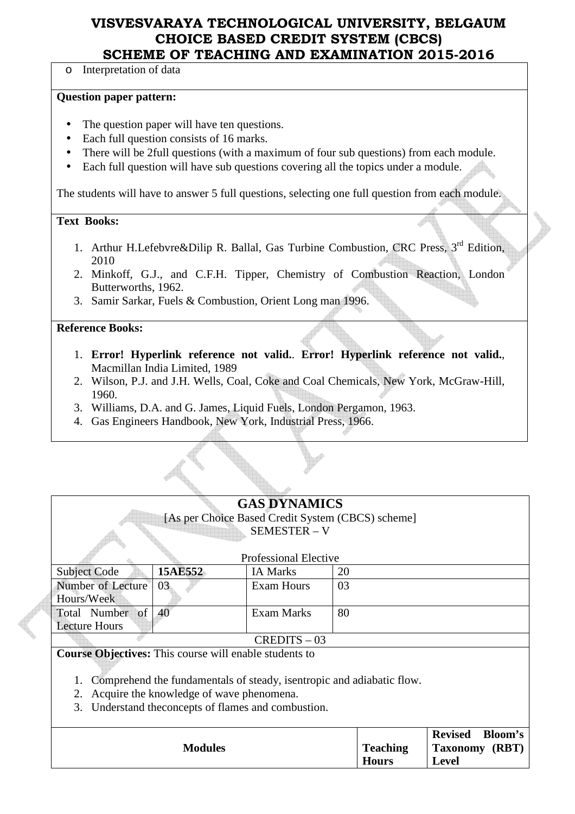Interpretation of data

#### **Question paper pattern:**

- The question paper will have ten questions.
- Each full question consists of 16 marks.
- There will be 2full questions (with a maximum of four sub questions) from each module.
- Each full question will have sub questions covering all the topics under a module.

The students will have to answer 5 full questions, selecting one full question from each module.

#### **Text Books:**

- 1. Arthur H.Lefebvre&Dilip R. Ballal, Gas Turbine Combustion, CRC Press, 3<sup>rd</sup> Edition, 2010
- 2. Minkoff, G.J., and C.F.H. Tipper, Chemistry of Combustion Reaction, London Butterworths, 1962.
- 3. Samir Sarkar, Fuels & Combustion, Orient Long man 1996.

#### **Reference Books:**

- 1. **Error! Hyperlink reference not valid.**. **Error! Hyperlink reference not valid.**, Macmillan India Limited, 1989
- 2. Wilson, P.J. and J.H. Wells, Coal, Coke and Coal Chemicals, New York, McGraw-Hill, 1960.
- 3. Williams, D.A. and G. James, Liquid Fuels, London Pergamon, 1963.
- 4. Gas Engineers Handbook, New York, Industrial Press, 1966.

| <b>GAS DYNAMICS</b> |  |
|---------------------|--|
|---------------------|--|

[As per Choice Based Credit System (CBCS) scheme] SEMESTER – V

|                      |         | <b>Professional Elective</b> |    |
|----------------------|---------|------------------------------|----|
| <b>Subject Code</b>  | 15AE552 | <b>IA Marks</b>              | 20 |
| Number of Lecture    | -03     | Exam Hours                   | 03 |
| Hours/Week           |         |                              |    |
| Total Number of 40   |         | Exam Marks                   | 80 |
| <b>Lecture Hours</b> |         |                              |    |
|                      |         | $CREDITS - 03$               |    |

**Course Objectives:** This course will enable students to

1. Comprehend the fundamentals of steady, isentropic and adiabatic flow.

2. Acquire the knowledge of wave phenomena.

3. Understand theconcepts of flames and combustion.

|                |                 | Bloom's<br><b>Revised</b> |
|----------------|-----------------|---------------------------|
| <b>Modules</b> | <b>Teaching</b> | Taxonomy (RBT)            |
|                | <b>Hours</b>    | Level                     |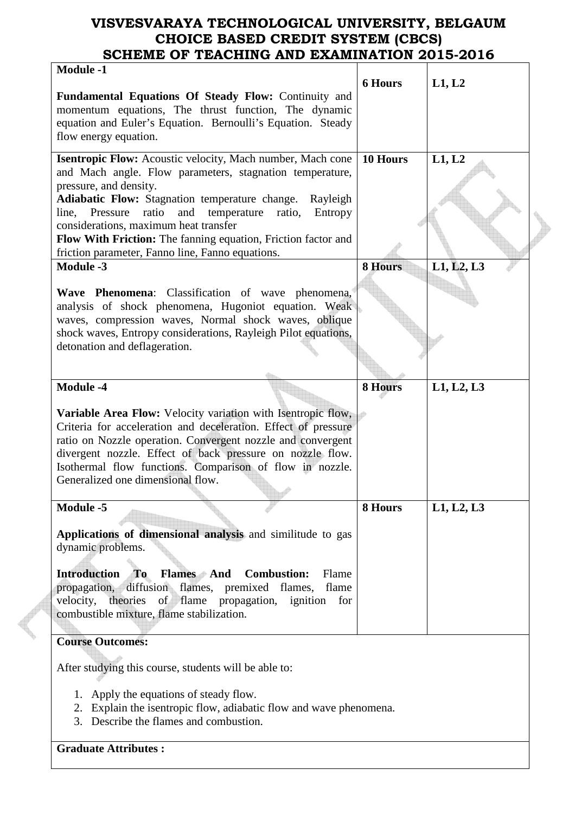| <b>Module -1</b>                                                                                                                                                            |                |            |  |
|-----------------------------------------------------------------------------------------------------------------------------------------------------------------------------|----------------|------------|--|
|                                                                                                                                                                             | <b>6 Hours</b> | L1, L2     |  |
| Fundamental Equations Of Steady Flow: Continuity and<br>momentum equations, The thrust function, The dynamic<br>equation and Euler's Equation. Bernoulli's Equation. Steady |                |            |  |
| flow energy equation.                                                                                                                                                       |                |            |  |
| <b>Isentropic Flow:</b> Acoustic velocity, Mach number, Mach cone<br>and Mach angle. Flow parameters, stagnation temperature,                                               | 10 Hours       | L1, L2     |  |
| pressure, and density.                                                                                                                                                      |                |            |  |
| Adiabatic Flow: Stagnation temperature change.<br>Rayleigh<br>Pressure<br>ratio<br>and<br>temperature<br>Entropy<br>line,<br>ratio,                                         |                |            |  |
| considerations, maximum heat transfer                                                                                                                                       |                |            |  |
| Flow With Friction: The fanning equation, Friction factor and                                                                                                               |                |            |  |
| friction parameter, Fanno line, Fanno equations.<br><b>Module -3</b>                                                                                                        |                |            |  |
|                                                                                                                                                                             | <b>8 Hours</b> | L1, L2, L3 |  |
| Wave Phenomena: Classification of wave phenomena,                                                                                                                           |                |            |  |
| analysis of shock phenomena, Hugoniot equation. Weak                                                                                                                        |                |            |  |
| waves, compression waves, Normal shock waves, oblique                                                                                                                       |                |            |  |
| shock waves, Entropy considerations, Rayleigh Pilot equations,<br>detonation and deflageration.                                                                             |                |            |  |
|                                                                                                                                                                             |                |            |  |
|                                                                                                                                                                             |                |            |  |
| <b>Module -4</b>                                                                                                                                                            | 8 Hours        | L1, L2, L3 |  |
|                                                                                                                                                                             |                |            |  |
| <b>Variable Area Flow:</b> Velocity variation with Isentropic flow,<br>Criteria for acceleration and deceleration. Effect of pressure                                       |                |            |  |
| ratio on Nozzle operation. Convergent nozzle and convergent                                                                                                                 |                |            |  |
| divergent nozzle. Effect of back pressure on nozzle flow.                                                                                                                   |                |            |  |
| Isothermal flow functions. Comparison of flow in nozzle.                                                                                                                    |                |            |  |
| Generalized one dimensional flow.                                                                                                                                           |                |            |  |
| <b>Module -5</b>                                                                                                                                                            | 8 Hours        | L1, L2, L3 |  |
|                                                                                                                                                                             |                |            |  |
| Applications of dimensional analysis and similitude to gas                                                                                                                  |                |            |  |
| dynamic problems.                                                                                                                                                           |                |            |  |
| <b>To</b><br><b>Flames</b> And<br><b>Introduction</b><br><b>Combustion:</b><br>Flame                                                                                        |                |            |  |
| diffusion flames, premixed flames,<br>propagation,<br>flame                                                                                                                 |                |            |  |
| velocity,<br>flame propagation, ignition<br>theories<br>of<br>for                                                                                                           |                |            |  |
| combustible mixture, flame stabilization.                                                                                                                                   |                |            |  |
|                                                                                                                                                                             |                |            |  |
| <b>Course Outcomes:</b>                                                                                                                                                     |                |            |  |
| After studying this course, students will be able to:                                                                                                                       |                |            |  |
|                                                                                                                                                                             |                |            |  |
| Apply the equations of steady flow.<br>1.                                                                                                                                   |                |            |  |
| Explain the isentropic flow, adiabatic flow and wave phenomena.<br>2.                                                                                                       |                |            |  |
| 3. Describe the flames and combustion.                                                                                                                                      |                |            |  |

**Graduate Attributes :**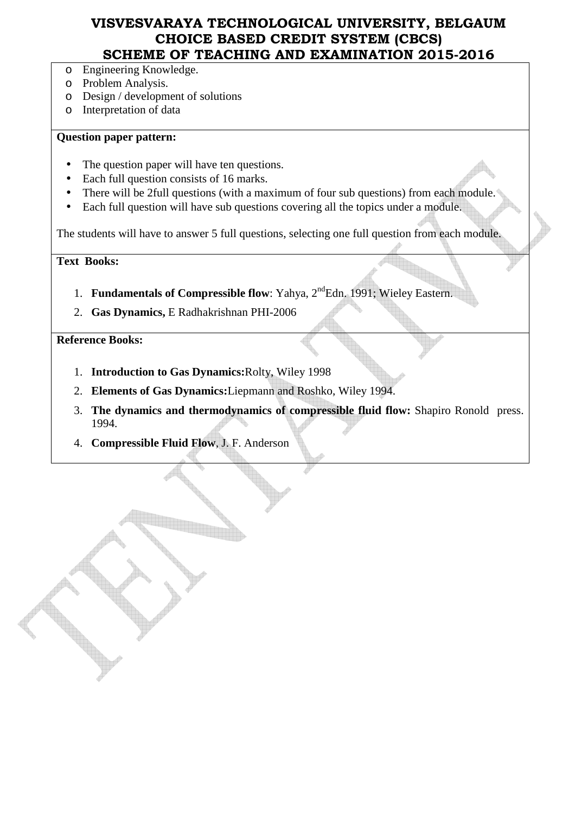- o Engineering Knowledge.
- o Problem Analysis.
- o Design / development of solutions
- o Interpretation of data

#### **Question paper pattern:**

- The question paper will have ten questions.
- Each full question consists of 16 marks.
- There will be 2full questions (with a maximum of four sub questions) from each module.
- Each full question will have sub questions covering all the topics under a module.

The students will have to answer 5 full questions, selecting one full question from each module.

**Text Books:** 

- 1. **Fundamentals of Compressible flow**: Yahya, 2<sup>nd</sup>Edn. 1991; Wieley Eastern.
- 2. **Gas Dynamics,** E Radhakrishnan PHI-2006

**Reference Books:** 

- 1. **Introduction to Gas Dynamics:**Rolty, Wiley 1998
- 2. **Elements of Gas Dynamics:**Liepmann and Roshko, Wiley 1994.
- 3. **The dynamics and thermodynamics of compressible fluid flow:** Shapiro Ronold press. 1994.
- 4. **Compressible Fluid Flow**, J. F. Anderson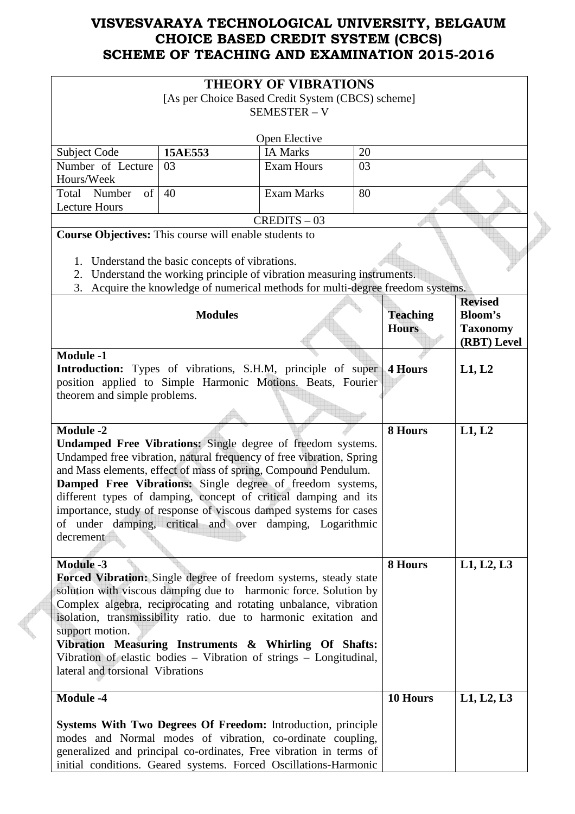|                                                                                                                               |                                                                                 | <b>THEORY OF VIBRATIONS</b> |    |                 |                                  |
|-------------------------------------------------------------------------------------------------------------------------------|---------------------------------------------------------------------------------|-----------------------------|----|-----------------|----------------------------------|
| [As per Choice Based Credit System (CBCS) scheme]                                                                             |                                                                                 |                             |    |                 |                                  |
| <b>SEMESTER - V</b>                                                                                                           |                                                                                 |                             |    |                 |                                  |
|                                                                                                                               |                                                                                 | Open Elective               |    |                 |                                  |
| Subject Code                                                                                                                  | 15AE553                                                                         | <b>IA Marks</b>             | 20 |                 |                                  |
| Number of Lecture                                                                                                             | 03                                                                              | <b>Exam Hours</b>           | 03 |                 |                                  |
| Hours/Week                                                                                                                    |                                                                                 |                             |    |                 |                                  |
| Total Number<br>of                                                                                                            | 40                                                                              | <b>Exam Marks</b>           | 80 |                 |                                  |
| <b>Lecture Hours</b>                                                                                                          |                                                                                 | $CREDITS - 03$              |    |                 |                                  |
| Course Objectives: This course will enable students to                                                                        |                                                                                 |                             |    |                 |                                  |
|                                                                                                                               |                                                                                 |                             |    |                 |                                  |
|                                                                                                                               | 1. Understand the basic concepts of vibrations.                                 |                             |    |                 |                                  |
| 2.                                                                                                                            | Understand the working principle of vibration measuring instruments.            |                             |    |                 |                                  |
|                                                                                                                               | 3. Acquire the knowledge of numerical methods for multi-degree freedom systems. |                             |    |                 |                                  |
|                                                                                                                               | <b>Modules</b>                                                                  |                             |    | <b>Teaching</b> | <b>Revised</b><br><b>Bloom's</b> |
|                                                                                                                               |                                                                                 |                             |    | <b>Hours</b>    | <b>Taxonomy</b>                  |
|                                                                                                                               |                                                                                 |                             |    |                 | (RBT) Level                      |
| <b>Module -1</b>                                                                                                              |                                                                                 |                             |    |                 |                                  |
| Introduction: Types of vibrations, S.H.M, principle of super                                                                  |                                                                                 |                             |    | <b>4 Hours</b>  | L1, L2                           |
| position applied to Simple Harmonic Motions. Beats, Fourier                                                                   |                                                                                 |                             |    |                 |                                  |
| theorem and simple problems.                                                                                                  |                                                                                 |                             |    |                 |                                  |
|                                                                                                                               |                                                                                 |                             |    |                 |                                  |
| <b>Module -2</b>                                                                                                              |                                                                                 |                             |    | 8 Hours         | L1, L2                           |
| Undamped Free Vibrations: Single degree of freedom systems.                                                                   |                                                                                 |                             |    |                 |                                  |
| Undamped free vibration, natural frequency of free vibration, Spring                                                          |                                                                                 |                             |    |                 |                                  |
| and Mass elements, effect of mass of spring, Compound Pendulum.                                                               |                                                                                 |                             |    |                 |                                  |
| Damped Free Vibrations: Single degree of freedom systems,                                                                     |                                                                                 |                             |    |                 |                                  |
| different types of damping, concept of critical damping and its                                                               |                                                                                 |                             |    |                 |                                  |
| importance, study of response of viscous damped systems for cases<br>of under damping, critical and over damping, Logarithmic |                                                                                 |                             |    |                 |                                  |
| decrement                                                                                                                     |                                                                                 |                             |    |                 |                                  |
|                                                                                                                               |                                                                                 |                             |    |                 |                                  |
| <b>Module -3</b>                                                                                                              |                                                                                 |                             |    | 8 Hours         | L1, L2, L3                       |
| <b>Forced Vibration:</b> Single degree of freedom systems, steady state                                                       |                                                                                 |                             |    |                 |                                  |
| solution with viscous damping due to harmonic force. Solution by                                                              |                                                                                 |                             |    |                 |                                  |
| Complex algebra, reciprocating and rotating unbalance, vibration                                                              |                                                                                 |                             |    |                 |                                  |
| isolation, transmissibility ratio. due to harmonic exitation and                                                              |                                                                                 |                             |    |                 |                                  |
| support motion.                                                                                                               |                                                                                 |                             |    |                 |                                  |
|                                                                                                                               | Vibration Measuring Instruments & Whirling Of Shafts:                           |                             |    |                 |                                  |
| Vibration of elastic bodies - Vibration of strings - Longitudinal,                                                            |                                                                                 |                             |    |                 |                                  |
| lateral and torsional Vibrations                                                                                              |                                                                                 |                             |    |                 |                                  |
| <b>Module -4</b>                                                                                                              |                                                                                 |                             |    | 10 Hours        | L1, L2, L3                       |
| Systems With Two Degrees Of Freedom: Introduction, principle                                                                  |                                                                                 |                             |    |                 |                                  |
| modes and Normal modes of vibration, co-ordinate coupling,                                                                    |                                                                                 |                             |    |                 |                                  |
| generalized and principal co-ordinates, Free vibration in terms of                                                            |                                                                                 |                             |    |                 |                                  |
| initial conditions. Geared systems. Forced Oscillations-Harmonic                                                              |                                                                                 |                             |    |                 |                                  |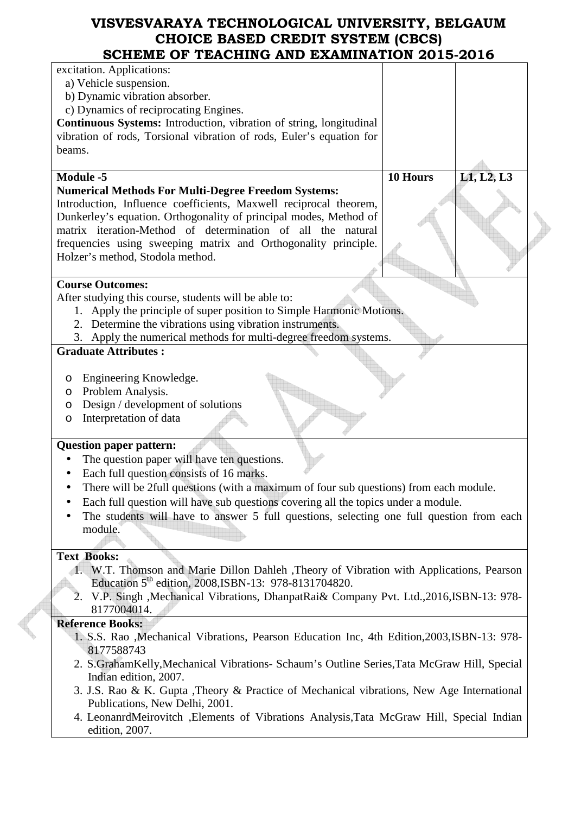| SCHEME OF TEACHING AND EXAMINATION 2015-2016                                                                                 |                        |
|------------------------------------------------------------------------------------------------------------------------------|------------------------|
| excitation. Applications:                                                                                                    |                        |
| a) Vehicle suspension.                                                                                                       |                        |
| b) Dynamic vibration absorber.                                                                                               |                        |
| c) Dynamics of reciprocating Engines.                                                                                        |                        |
| <b>Continuous Systems:</b> Introduction, vibration of string, longitudinal                                                   |                        |
| vibration of rods, Torsional vibration of rods, Euler's equation for                                                         |                        |
| beams.                                                                                                                       |                        |
|                                                                                                                              |                        |
| <b>Module -5</b>                                                                                                             | L1, L2, L3<br>10 Hours |
| <b>Numerical Methods For Multi-Degree Freedom Systems:</b>                                                                   |                        |
| Introduction, Influence coefficients, Maxwell reciprocal theorem,                                                            |                        |
| Dunkerley's equation. Orthogonality of principal modes, Method of                                                            |                        |
| matrix iteration-Method of determination of all the natural                                                                  |                        |
| frequencies using sweeping matrix and Orthogonality principle.                                                               |                        |
| Holzer's method, Stodola method.                                                                                             |                        |
|                                                                                                                              |                        |
| <b>Course Outcomes:</b>                                                                                                      |                        |
| After studying this course, students will be able to:                                                                        |                        |
| 1. Apply the principle of super position to Simple Harmonic Motions.                                                         |                        |
| 2. Determine the vibrations using vibration instruments.                                                                     |                        |
| 3. Apply the numerical methods for multi-degree freedom systems.                                                             |                        |
| <b>Graduate Attributes:</b>                                                                                                  |                        |
|                                                                                                                              |                        |
| Engineering Knowledge.<br>O                                                                                                  |                        |
| Problem Analysis.<br>O                                                                                                       |                        |
| Design / development of solutions<br>O                                                                                       |                        |
| Interpretation of data<br>O                                                                                                  |                        |
|                                                                                                                              |                        |
| <b>Question paper pattern:</b>                                                                                               |                        |
| The question paper will have ten questions.                                                                                  |                        |
| Each full question consists of 16 marks.                                                                                     |                        |
| There will be 2full questions (with a maximum of four sub questions) from each module.                                       |                        |
| Each full question will have sub questions covering all the topics under a module.                                           |                        |
| The students will have to answer 5 full questions, selecting one full question from each                                     |                        |
| module.                                                                                                                      |                        |
|                                                                                                                              |                        |
| <b>Text Books:</b>                                                                                                           |                        |
| 1. W.T. Thomson and Marie Dillon Dahleh , Theory of Vibration with Applications, Pearson                                     |                        |
| Education 5 <sup>th</sup> edition, 2008, ISBN-13: 978-8131704820.                                                            |                        |
| V.P. Singh , Mechanical Vibrations, DhanpatRai& Company Pvt. Ltd., 2016, ISBN-13: 978-                                       |                        |
| 8177004014.                                                                                                                  |                        |
| <b>Reference Books:</b>                                                                                                      |                        |
| 1. S.S. Rao , Mechanical Vibrations, Pearson Education Inc, 4th Edition, 2003, ISBN-13: 978-<br>8177588743                   |                        |
| 2. S.GrahamKelly, Mechanical Vibrations- Schaum's Outline Series, Tata McGraw Hill, Special                                  |                        |
| Indian edition, 2007.                                                                                                        |                        |
| 3. J.S. Rao & K. Gupta , Theory & Practice of Mechanical vibrations, New Age International<br>Publications, New Delhi, 2001. |                        |
| 4. LeonanrdMeirovitch , Elements of Vibrations Analysis, Tata McGraw Hill, Special Indian                                    |                        |
| edition, 2007.                                                                                                               |                        |

P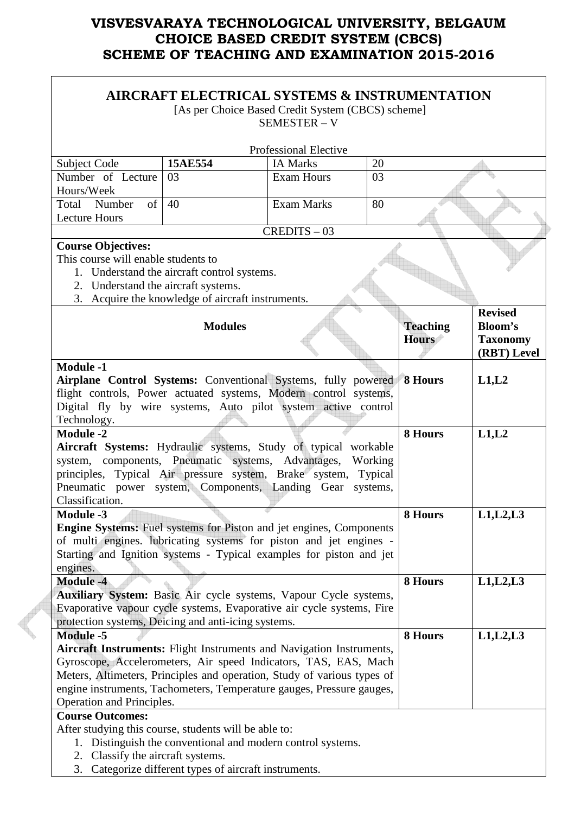|                                                                                                                                                                                                             |                | AIRCRAFT ELECTRICAL SYSTEMS & INSTRUMENTATION<br>[As per Choice Based Credit System (CBCS) scheme]                                                                                                                                                                                          |                                 |                                                                    |
|-------------------------------------------------------------------------------------------------------------------------------------------------------------------------------------------------------------|----------------|---------------------------------------------------------------------------------------------------------------------------------------------------------------------------------------------------------------------------------------------------------------------------------------------|---------------------------------|--------------------------------------------------------------------|
|                                                                                                                                                                                                             |                | <b>SEMESTER - V</b>                                                                                                                                                                                                                                                                         |                                 |                                                                    |
|                                                                                                                                                                                                             |                | <b>Professional Elective</b>                                                                                                                                                                                                                                                                |                                 |                                                                    |
| Subject Code                                                                                                                                                                                                | 15AE554        | <b>IA Marks</b>                                                                                                                                                                                                                                                                             | 20                              |                                                                    |
| Number of Lecture                                                                                                                                                                                           | 03             | <b>Exam Hours</b>                                                                                                                                                                                                                                                                           | 03                              |                                                                    |
| Hours/Week                                                                                                                                                                                                  |                |                                                                                                                                                                                                                                                                                             |                                 |                                                                    |
| Total Number<br>of <sub>1</sub>                                                                                                                                                                             | 40             | <b>Exam Marks</b>                                                                                                                                                                                                                                                                           | 80                              |                                                                    |
| <b>Lecture Hours</b>                                                                                                                                                                                        |                |                                                                                                                                                                                                                                                                                             |                                 |                                                                    |
|                                                                                                                                                                                                             |                | $CREDITS - 03$                                                                                                                                                                                                                                                                              |                                 |                                                                    |
| <b>Course Objectives:</b><br>This course will enable students to<br>1. Understand the aircraft control systems.<br>2. Understand the aircraft systems.<br>3. Acquire the knowledge of aircraft instruments. |                |                                                                                                                                                                                                                                                                                             |                                 |                                                                    |
|                                                                                                                                                                                                             | <b>Modules</b> |                                                                                                                                                                                                                                                                                             | <b>Teaching</b><br><b>Hours</b> | <b>Revised</b><br><b>Bloom's</b><br><b>Taxonomy</b><br>(RBT) Level |
| <b>Module -1</b>                                                                                                                                                                                            |                |                                                                                                                                                                                                                                                                                             |                                 |                                                                    |
| Technology.                                                                                                                                                                                                 |                | Airplane Control Systems: Conventional Systems, fully powered<br>flight controls, Power actuated systems, Modern control systems,<br>Digital fly by wire systems, Auto pilot system active control                                                                                          | 8 Hours                         | L1,L2                                                              |
| <b>Module -2</b>                                                                                                                                                                                            |                |                                                                                                                                                                                                                                                                                             | 8 Hours                         | L1,L2                                                              |
| Classification.                                                                                                                                                                                             |                | Aircraft Systems: Hydraulic systems, Study of typical workable<br>system, components, Pneumatic systems, Advantages,<br>principles, Typical Air pressure system, Brake system, Typical<br>Pneumatic power system, Components, Landing Gear systems,                                         | Working                         |                                                                    |
| <b>Module -3</b>                                                                                                                                                                                            |                |                                                                                                                                                                                                                                                                                             | 8 Hours                         | L1, L2, L3                                                         |
| engines.                                                                                                                                                                                                    |                | <b>Engine Systems:</b> Fuel systems for Piston and jet engines, Components<br>of multi engines. lubricating systems for piston and jet engines -<br>Starting and Ignition systems - Typical examples for piston and jet                                                                     |                                 |                                                                    |
| <b>Module -4</b>                                                                                                                                                                                            |                |                                                                                                                                                                                                                                                                                             | 8 Hours                         | L1, L2, L3                                                         |
| protection systems, Deicing and anti-icing systems.                                                                                                                                                         |                | Auxiliary System: Basic Air cycle systems, Vapour Cycle systems,<br>Evaporative vapour cycle systems, Evaporative air cycle systems, Fire                                                                                                                                                   |                                 |                                                                    |
| <b>Module -5</b>                                                                                                                                                                                            |                |                                                                                                                                                                                                                                                                                             | 8 Hours                         | L1, L2, L3                                                         |
| Operation and Principles.                                                                                                                                                                                   |                | Aircraft Instruments: Flight Instruments and Navigation Instruments,<br>Gyroscope, Accelerometers, Air speed Indicators, TAS, EAS, Mach<br>Meters, Altimeters, Principles and operation, Study of various types of<br>engine instruments, Tachometers, Temperature gauges, Pressure gauges, |                                 |                                                                    |
| <b>Course Outcomes:</b>                                                                                                                                                                                     |                |                                                                                                                                                                                                                                                                                             |                                 |                                                                    |
| After studying this course, students will be able to:<br>2. Classify the aircraft systems.<br>3.                                                                                                            |                | 1. Distinguish the conventional and modern control systems.<br>Categorize different types of aircraft instruments.                                                                                                                                                                          |                                 |                                                                    |

P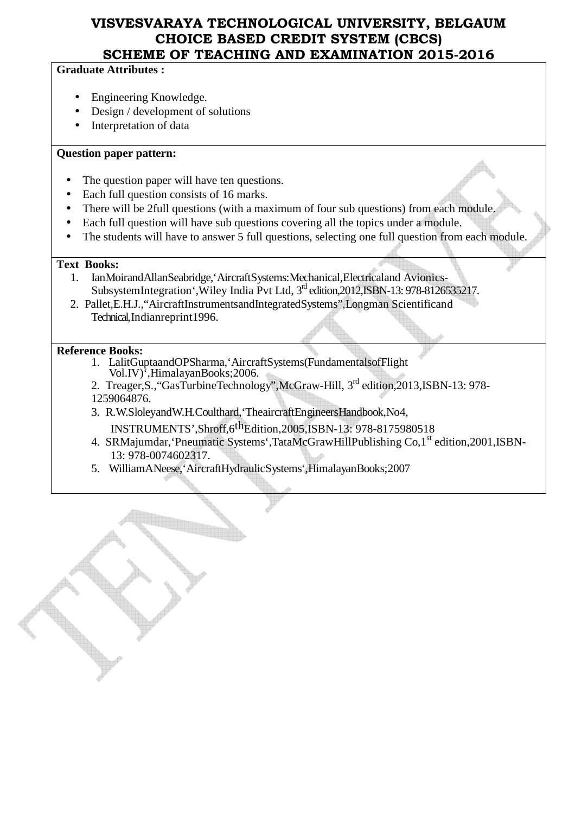#### **Graduate Attributes :**

- Engineering Knowledge.
- Design / development of solutions
- Interpretation of data

#### **Question paper pattern:**

- The question paper will have ten questions.
- Each full question consists of 16 marks.
- There will be 2full questions (with a maximum of four sub questions) from each module.
- Each full question will have sub questions covering all the topics under a module.
- The students will have to answer 5 full questions, selecting one full question from each module.

#### **Text Books:**

- 1. IanMoirandAllanSeabridge,'AircraftSystems:Mechanical,Electricaland Avionics-SubsystemIntegration', Wiley India Pvt Ltd, 3<sup>rd</sup> edition, 2012, ISBN-13: 978-8126535217.
- 2. Pallet,E.H.J.,"AircraftInstrumentsandIntegratedSystems",Longman Scientificand Technical,Indianreprint1996.

#### **Reference Books:**

- 1. LalitGuptaandOPSharma,'AircraftSystems(FundamentalsofFlight Vol.IV)',HimalayanBooks;2006.
- 2. Treager, S., "GasTurbineTechnology", McGraw-Hill, 3<sup>rd</sup> edition, 2013, ISBN-13: 978-1259064876.
- 3. R.W.SloleyandW.H.Coulthard,'TheaircraftEngineersHandbook,No4,

INSTRUMENTS',Shroff,6thEdition,2005,ISBN-13: 978-8175980518

- 4. SRMajumdar, 'Pneumatic Systems', TataMcGrawHillPublishing Co, 1<sup>st</sup> edition, 2001, ISBN-13: 978-0074602317.
- 5. WilliamANeese,'AircraftHydraulicSystems',HimalayanBooks;2007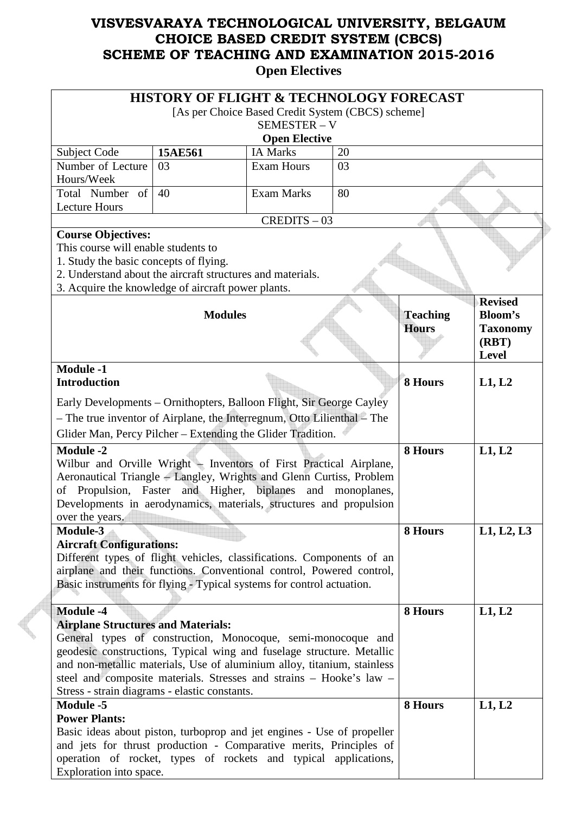|                                                                         | <b>HISTORY OF FLIGHT &amp; TECHNOLOGY FORECAST</b> |                      |    |                 |                 |
|-------------------------------------------------------------------------|----------------------------------------------------|----------------------|----|-----------------|-----------------|
|                                                                         | [As per Choice Based Credit System (CBCS) scheme]  |                      |    |                 |                 |
|                                                                         |                                                    | SEMESTER - V         |    |                 |                 |
|                                                                         |                                                    | <b>Open Elective</b> |    |                 |                 |
| Subject Code                                                            | 15AE561                                            | <b>IA Marks</b>      | 20 |                 |                 |
| Number of Lecture                                                       | 03                                                 | <b>Exam Hours</b>    | 03 |                 |                 |
| Hours/Week                                                              |                                                    |                      |    |                 |                 |
| Total Number of                                                         | 40                                                 | <b>Exam Marks</b>    | 80 |                 |                 |
| <b>Lecture Hours</b>                                                    |                                                    | $CREDITS - 03$       |    |                 |                 |
|                                                                         |                                                    |                      |    |                 |                 |
| <b>Course Objectives:</b><br>This course will enable students to        |                                                    |                      |    |                 |                 |
| 1. Study the basic concepts of flying.                                  |                                                    |                      |    |                 |                 |
| 2. Understand about the aircraft structures and materials.              |                                                    |                      |    |                 |                 |
| 3. Acquire the knowledge of aircraft power plants.                      |                                                    |                      |    |                 |                 |
|                                                                         |                                                    |                      |    |                 | <b>Revised</b>  |
|                                                                         | <b>Modules</b>                                     |                      |    | <b>Teaching</b> | <b>Bloom's</b>  |
|                                                                         |                                                    |                      |    | <b>Hours</b>    | <b>Taxonomy</b> |
|                                                                         |                                                    |                      |    |                 | (RBT)           |
|                                                                         |                                                    |                      |    |                 | <b>Level</b>    |
| <b>Module -1</b>                                                        |                                                    |                      |    |                 |                 |
| <b>Introduction</b>                                                     |                                                    |                      |    | 8 Hours         | L1, L2          |
| Early Developments – Ornithopters, Balloon Flight, Sir George Cayley    |                                                    |                      |    |                 |                 |
| - The true inventor of Airplane, the Interregnum, Otto Lilienthal - The |                                                    |                      |    |                 |                 |
| Glider Man, Percy Pilcher - Extending the Glider Tradition.             |                                                    |                      |    |                 |                 |
| <b>Module -2</b>                                                        |                                                    |                      |    | 8 Hours         | L1, L2          |
| Wilbur and Orville Wright - Inventors of First Practical Airplane,      |                                                    |                      |    |                 |                 |
| Aeronautical Triangle – Langley, Wrights and Glenn Curtiss, Problem     |                                                    |                      |    |                 |                 |
| of Propulsion, Faster and Higher, biplanes and monoplanes,              |                                                    |                      |    |                 |                 |
| Developments in aerodynamics, materials, structures and propulsion      |                                                    |                      |    |                 |                 |
| over the years.                                                         |                                                    |                      |    |                 |                 |
| Module-3                                                                |                                                    |                      |    | 8 Hours         | L1, L2, L3      |
| <b>Aircraft Configurations:</b>                                         |                                                    |                      |    |                 |                 |
| Different types of flight vehicles, classifications. Components of an   |                                                    |                      |    |                 |                 |
| airplane and their functions. Conventional control, Powered control,    |                                                    |                      |    |                 |                 |
| Basic instruments for flying - Typical systems for control actuation.   |                                                    |                      |    |                 |                 |
| <b>Module -4</b>                                                        |                                                    |                      |    | 8 Hours         | L1, L2          |
| <b>Airplane Structures and Materials:</b>                               |                                                    |                      |    |                 |                 |
| General types of construction, Monocoque, semi-monocoque and            |                                                    |                      |    |                 |                 |
| geodesic constructions, Typical wing and fuselage structure. Metallic   |                                                    |                      |    |                 |                 |
| and non-metallic materials, Use of aluminium alloy, titanium, stainless |                                                    |                      |    |                 |                 |
| steel and composite materials. Stresses and strains - Hooke's law -     |                                                    |                      |    |                 |                 |
| Stress - strain diagrams - elastic constants.                           |                                                    |                      |    |                 |                 |
| <b>Module -5</b>                                                        |                                                    |                      |    | 8 Hours         | L1, L2          |
| <b>Power Plants:</b>                                                    |                                                    |                      |    |                 |                 |
| Basic ideas about piston, turboprop and jet engines - Use of propeller  |                                                    |                      |    |                 |                 |
| and jets for thrust production - Comparative merits, Principles of      |                                                    |                      |    |                 |                 |
| operation of rocket, types of rockets and typical applications,         |                                                    |                      |    |                 |                 |
| Exploration into space.                                                 |                                                    |                      |    |                 |                 |

 $\epsilon$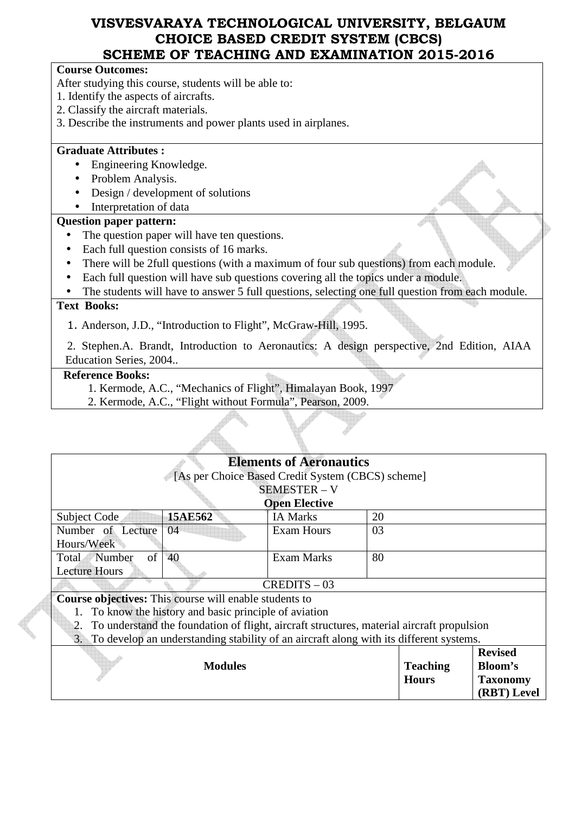| SCHEME OF TEACHING AND EXAMINATION 2015-2016                                                     |
|--------------------------------------------------------------------------------------------------|
| <b>Course Outcomes:</b>                                                                          |
| After studying this course, students will be able to:                                            |
| 1. Identify the aspects of aircrafts.                                                            |
| 2. Classify the aircraft materials.                                                              |
| 3. Describe the instruments and power plants used in airplanes.                                  |
| <b>Graduate Attributes:</b>                                                                      |
| Engineering Knowledge.                                                                           |
| Problem Analysis.                                                                                |
| Design / development of solutions                                                                |
| Interpretation of data                                                                           |
| <b>Question paper pattern:</b>                                                                   |
| The question paper will have ten questions.                                                      |
| Each full question consists of 16 marks.<br>$\bullet$                                            |
| There will be 2full questions (with a maximum of four sub questions) from each module.           |
| Each full question will have sub questions covering all the topics under a module.<br>$\bullet$  |
| The students will have to answer 5 full questions, selecting one full question from each module. |
| <b>Text Books:</b>                                                                               |
| 1. Anderson, J.D., "Introduction to Flight", McGraw-Hill, 1995.                                  |
| Stephen A Brandt Introduction to Aeronautics: A design perspective 2nd Edition AIAA              |

n.A. Brandt, Introduction to Aer Education Series, 2004..

#### **Reference Books:**

- 1. Kermode, A.C., "Mechanics of Flight", Himalayan Book, 1997
- 2. Kermode, A.C., "Flight without Formula", Pearson, 2009.

| <b>Open Elective</b>                                          |                                                                                                                                |                                                                                                                                                                                                                                                            |  |
|---------------------------------------------------------------|--------------------------------------------------------------------------------------------------------------------------------|------------------------------------------------------------------------------------------------------------------------------------------------------------------------------------------------------------------------------------------------------------|--|
| <b>IA Marks</b>                                               |                                                                                                                                |                                                                                                                                                                                                                                                            |  |
| <b>Exam Hours</b>                                             |                                                                                                                                |                                                                                                                                                                                                                                                            |  |
|                                                               |                                                                                                                                |                                                                                                                                                                                                                                                            |  |
| <b>Exam Marks</b>                                             |                                                                                                                                |                                                                                                                                                                                                                                                            |  |
|                                                               |                                                                                                                                |                                                                                                                                                                                                                                                            |  |
|                                                               |                                                                                                                                |                                                                                                                                                                                                                                                            |  |
| <b>Course objectives:</b> This course will enable students to |                                                                                                                                |                                                                                                                                                                                                                                                            |  |
|                                                               |                                                                                                                                |                                                                                                                                                                                                                                                            |  |
|                                                               |                                                                                                                                |                                                                                                                                                                                                                                                            |  |
|                                                               |                                                                                                                                |                                                                                                                                                                                                                                                            |  |
|                                                               |                                                                                                                                | <b>Revised</b>                                                                                                                                                                                                                                             |  |
|                                                               | <b>Teaching</b>                                                                                                                | Bloom's                                                                                                                                                                                                                                                    |  |
|                                                               | <b>Hours</b>                                                                                                                   | <b>Taxonomy</b>                                                                                                                                                                                                                                            |  |
|                                                               |                                                                                                                                | (RBT) Level                                                                                                                                                                                                                                                |  |
|                                                               | <b>Elements of Aeronautics</b><br><b>SEMESTER - V</b><br>$CREDITS - 03$<br>To know the history and basic principle of aviation | [As per Choice Based Credit System (CBCS) scheme]<br>20<br>03<br>80<br>To understand the foundation of flight, aircraft structures, material aircraft propulsion<br>To develop an understanding stability of an aircraft along with its different systems. |  |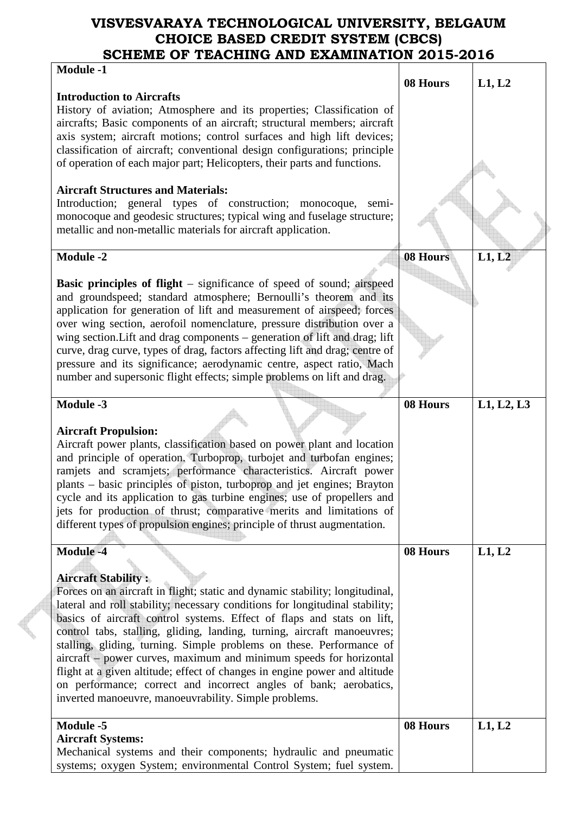| <b>Module -1</b>                                                             |          |            |
|------------------------------------------------------------------------------|----------|------------|
|                                                                              | 08 Hours | L1, L2     |
| <b>Introduction to Aircrafts</b>                                             |          |            |
| History of aviation; Atmosphere and its properties; Classification of        |          |            |
| aircrafts; Basic components of an aircraft; structural members; aircraft     |          |            |
| axis system; aircraft motions; control surfaces and high lift devices;       |          |            |
| classification of aircraft; conventional design configurations; principle    |          |            |
| of operation of each major part; Helicopters, their parts and functions.     |          |            |
|                                                                              |          |            |
| <b>Aircraft Structures and Materials:</b>                                    |          |            |
| Introduction; general types of construction; monocoque,<br>semi-             |          |            |
| monocoque and geodesic structures; typical wing and fuselage structure;      |          |            |
| metallic and non-metallic materials for aircraft application.                |          |            |
|                                                                              |          |            |
| <b>Module -2</b>                                                             | 08 Hours | L1, L2     |
|                                                                              |          |            |
| <b>Basic principles of flight</b> – significance of speed of sound; airspeed |          |            |
| and groundspeed; standard atmosphere; Bernoulli's theorem and its            |          |            |
| application for generation of lift and measurement of airspeed; forces       |          |            |
| over wing section, aerofoil nomenclature, pressure distribution over a       |          |            |
| wing section. Lift and drag components - generation of lift and drag; lift   |          |            |
| curve, drag curve, types of drag, factors affecting lift and drag; centre of |          |            |
| pressure and its significance; aerodynamic centre, aspect ratio, Mach        |          |            |
| number and supersonic flight effects; simple problems on lift and drag.      |          |            |
|                                                                              |          |            |
| <b>Module -3</b>                                                             | 08 Hours | L1, L2, L3 |
|                                                                              |          |            |
| <b>Aircraft Propulsion:</b>                                                  |          |            |
| Aircraft power plants, classification based on power plant and location      |          |            |
| and principle of operation. Turboprop, turbojet and turbofan engines;        |          |            |
| ramjets and scramjets; performance characteristics. Aircraft power           |          |            |
| plants - basic principles of piston, turboprop and jet engines; Brayton      |          |            |
| cycle and its application to gas turbine engines; use of propellers and      |          |            |
| jets for production of thrust; comparative merits and limitations of         |          |            |
| different types of propulsion engines; principle of thrust augmentation.     |          |            |
|                                                                              |          |            |
| <b>Module -4</b>                                                             | 08 Hours | L1, L2     |
|                                                                              |          |            |
| <b>Aircraft Stability:</b>                                                   |          |            |
| Forces on an aircraft in flight; static and dynamic stability; longitudinal, |          |            |
| lateral and roll stability; necessary conditions for longitudinal stability; |          |            |
| basics of aircraft control systems. Effect of flaps and stats on lift,       |          |            |
| control tabs, stalling, gliding, landing, turning, aircraft manoeuvres;      |          |            |
| stalling, gliding, turning. Simple problems on these. Performance of         |          |            |
| aircraft – power curves, maximum and minimum speeds for horizontal           |          |            |
| flight at a given altitude; effect of changes in engine power and altitude   |          |            |
| on performance; correct and incorrect angles of bank; aerobatics,            |          |            |
| inverted manoeuvre, manoeuvrability. Simple problems.                        |          |            |
| <b>Module -5</b>                                                             | 08 Hours | L1, L2     |
| <b>Aircraft Systems:</b>                                                     |          |            |
| Mechanical systems and their components; hydraulic and pneumatic             |          |            |
| systems; oxygen System; environmental Control System; fuel system.           |          |            |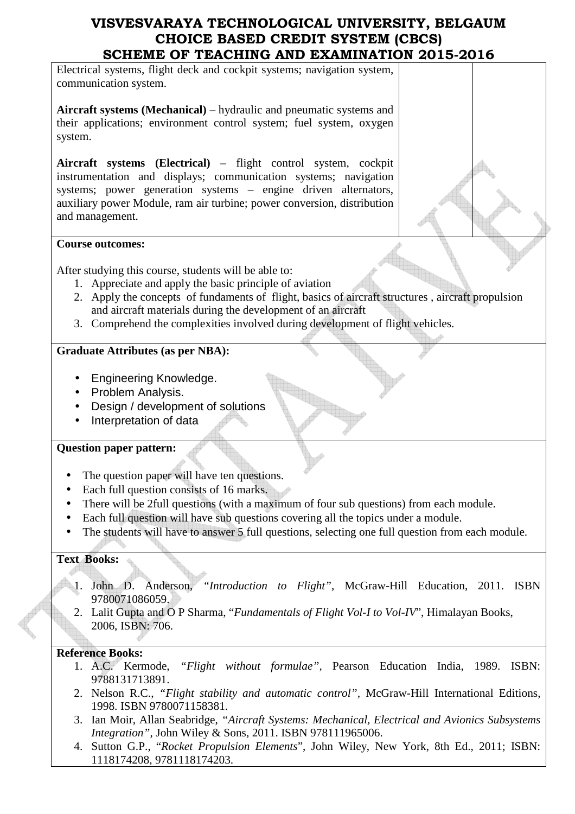Electrical systems, flight deck and cockpit systems; navigation system, communication system.

**Aircraft systems (Mechanical)** – hydraulic and pneumatic systems and their applications; environment control system; fuel system, oxygen system.

**Aircraft systems (Electrical)** – flight control system, cockpit instrumentation and displays; communication systems; navigation systems; power generation systems – engine driven alternators, auxiliary power Module, ram air turbine; power conversion, distribution and management.

#### **Course outcomes:**

After studying this course, students will be able to:

- 1. Appreciate and apply the basic principle of aviation
- 2. Apply the concepts of fundaments of flight, basics of aircraft structures , aircraft propulsion and aircraft materials during the development of an aircraft
- 3. Comprehend the complexities involved during development of flight vehicles.

#### **Graduate Attributes (as per NBA):**

- Engineering Knowledge.
- Problem Analysis.
- Design / development of solutions
- Interpretation of data

#### **Question paper pattern:**

- The question paper will have ten questions.
- Each full question consists of 16 marks.
- There will be 2full questions (with a maximum of four sub questions) from each module.
- Each full question will have sub questions covering all the topics under a module.
- The students will have to answer 5 full questions, selecting one full question from each module.

#### **Text Books:**

- 1. John D. Anderson, *"Introduction to Flight",* McGraw-Hill Education, 2011. ISBN 9780071086059.
	- 2. Lalit Gupta and O P Sharma, "*Fundamentals of Flight Vol-I to Vol-IV*", Himalayan Books, 2006, ISBN: 706.

#### **Reference Books:**

- 1. A.C. Kermode, *"Flight without formulae",* Pearson Education India, 1989. ISBN: 9788131713891.
- 2. Nelson R.C., *"Flight stability and automatic control",* McGraw-Hill International Editions, 1998. ISBN 9780071158381.
- 3. Ian Moir, Allan Seabridge, *"Aircraft Systems: Mechanical, Electrical and Avionics Subsystems Integration",* John Wiley & Sons, 2011. ISBN 978111965006.
- 4. Sutton G.P., "*Rocket Propulsion Elements*", John Wiley, New York, 8th Ed., 2011; ISBN: 1118174208, 9781118174203.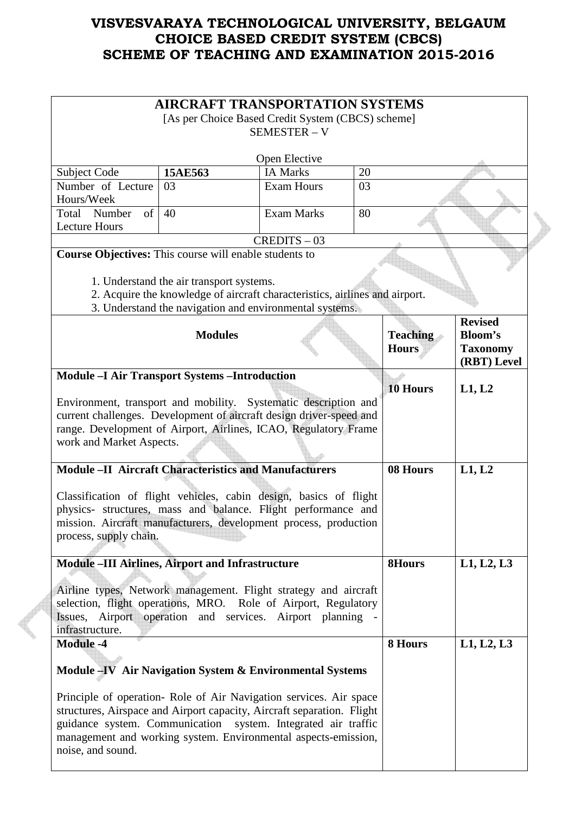|                                                                                                                                                                                                                                                                                                      | <b>AIRCRAFT TRANSPORTATION SYSTEMS</b><br>[As per Choice Based Credit System (CBCS) scheme]                                                                                        | <b>SEMESTER - V</b>              |    |                                 |                                                                    |
|------------------------------------------------------------------------------------------------------------------------------------------------------------------------------------------------------------------------------------------------------------------------------------------------------|------------------------------------------------------------------------------------------------------------------------------------------------------------------------------------|----------------------------------|----|---------------------------------|--------------------------------------------------------------------|
|                                                                                                                                                                                                                                                                                                      |                                                                                                                                                                                    |                                  |    |                                 |                                                                    |
| Subject Code                                                                                                                                                                                                                                                                                         | 15AE563                                                                                                                                                                            | Open Elective<br><b>IA Marks</b> | 20 |                                 |                                                                    |
| Number of Lecture                                                                                                                                                                                                                                                                                    | 03                                                                                                                                                                                 | <b>Exam Hours</b>                | 03 |                                 |                                                                    |
| Hours/Week                                                                                                                                                                                                                                                                                           |                                                                                                                                                                                    |                                  |    |                                 |                                                                    |
| of<br>Total Number<br><b>Lecture Hours</b>                                                                                                                                                                                                                                                           | 40                                                                                                                                                                                 | <b>Exam Marks</b>                | 80 |                                 |                                                                    |
|                                                                                                                                                                                                                                                                                                      |                                                                                                                                                                                    | $CREDITS - 03$                   |    |                                 |                                                                    |
| Course Objectives: This course will enable students to                                                                                                                                                                                                                                               | 1. Understand the air transport systems.<br>2. Acquire the knowledge of aircraft characteristics, airlines and airport.<br>3. Understand the navigation and environmental systems. |                                  |    |                                 |                                                                    |
|                                                                                                                                                                                                                                                                                                      | <b>Modules</b>                                                                                                                                                                     |                                  |    | <b>Teaching</b><br><b>Hours</b> | <b>Revised</b><br><b>Bloom's</b><br><b>Taxonomy</b><br>(RBT) Level |
| <b>Module -I Air Transport Systems -Introduction</b><br>Environment, transport and mobility. Systematic description and<br>current challenges. Development of aircraft design driver-speed and<br>range. Development of Airport, Airlines, ICAO, Regulatory Frame<br>work and Market Aspects.        |                                                                                                                                                                                    |                                  |    | 10 Hours                        | L1, L2                                                             |
| <b>Module -II Aircraft Characteristics and Manufacturers</b>                                                                                                                                                                                                                                         |                                                                                                                                                                                    |                                  |    | 08 Hours                        | L1, L2                                                             |
| Classification of flight vehicles, cabin design, basics of flight<br>physics- structures, mass and balance. Flight performance and<br>mission. Aircraft manufacturers, development process, production<br>process, supply chain.                                                                     |                                                                                                                                                                                    |                                  |    |                                 |                                                                    |
| Module -III Airlines, Airport and Infrastructure                                                                                                                                                                                                                                                     |                                                                                                                                                                                    |                                  |    | <b>8Hours</b>                   | L1, L2, L3                                                         |
| Airline types, Network management. Flight strategy and aircraft<br>selection, flight operations, MRO. Role of Airport, Regulatory<br>Issues, Airport operation and services. Airport planning -<br>infrastructure.                                                                                   |                                                                                                                                                                                    |                                  |    |                                 |                                                                    |
| <b>Module -4</b><br>Module -IV Air Navigation System & Environmental Systems                                                                                                                                                                                                                         |                                                                                                                                                                                    |                                  |    | 8 Hours                         | L1, L2, L3                                                         |
| Principle of operation- Role of Air Navigation services. Air space<br>structures, Airspace and Airport capacity, Aircraft separation. Flight<br>guidance system. Communication system. Integrated air traffic<br>management and working system. Environmental aspects-emission,<br>noise, and sound. |                                                                                                                                                                                    |                                  |    |                                 |                                                                    |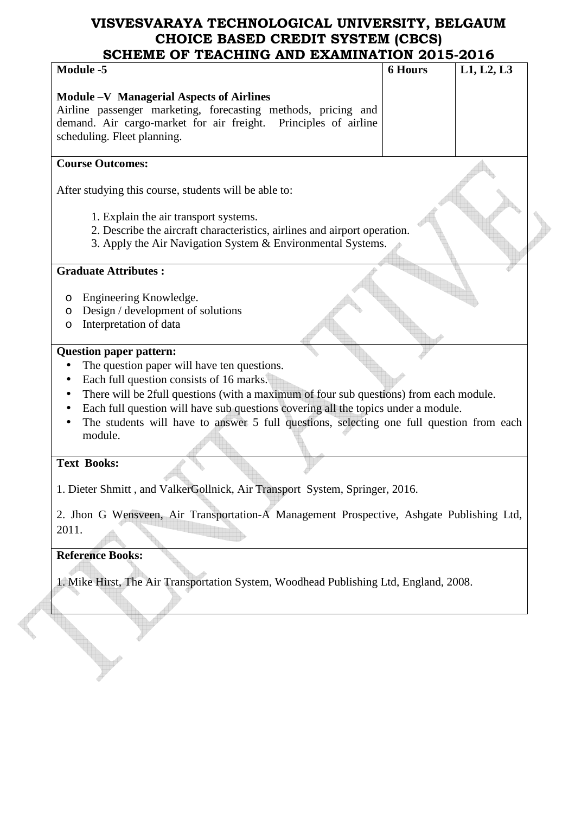# **VISVESVARAYA TECHNOLOGICAL UNIVERSITY, BELGAUM CHOICE BASED CREDIT SYSTEM (CBCS)**

| <b>Module -5</b>                                                                                    | <b>6 Hours</b> | L1, L2, L3 |
|-----------------------------------------------------------------------------------------------------|----------------|------------|
| <b>Module -V Managerial Aspects of Airlines</b>                                                     |                |            |
| Airline passenger marketing, forecasting methods, pricing and                                       |                |            |
| demand. Air cargo-market for air freight. Principles of airline                                     |                |            |
| scheduling. Fleet planning.                                                                         |                |            |
| <b>Course Outcomes:</b>                                                                             |                |            |
| After studying this course, students will be able to:                                               |                |            |
| 1. Explain the air transport systems.                                                               |                |            |
| 2. Describe the aircraft characteristics, airlines and airport operation.                           |                |            |
| 3. Apply the Air Navigation System & Environmental Systems.                                         |                |            |
| <b>Graduate Attributes:</b>                                                                         |                |            |
|                                                                                                     |                |            |
| Engineering Knowledge.<br>O                                                                         |                |            |
| Design / development of solutions<br>O                                                              |                |            |
| Interpretation of data<br>O                                                                         |                |            |
| <b>Question paper pattern:</b>                                                                      |                |            |
| The question paper will have ten questions.                                                         |                |            |
| Each full question consists of 16 marks.                                                            |                |            |
| There will be 2full questions (with a maximum of four sub questions) from each module.<br>$\bullet$ |                |            |
| Each full question will have sub questions covering all the topics under a module.                  |                |            |
| The students will have to answer 5 full questions, selecting one full question from each            |                |            |
| module.                                                                                             |                |            |
|                                                                                                     |                |            |
| <b>Text Books:</b>                                                                                  |                |            |
| 1. Dieter Shmitt, and ValkerGollnick, Air Transport System, Springer, 2016.                         |                |            |
| 2. Jhon G Wensveen, Air Transportation-A Management Prospective, Ashgate Publishing Ltd,            |                |            |
| 2011.                                                                                               |                |            |
|                                                                                                     |                |            |

**Reference Books:** 

1. Mike Hirst, The Air Transportation System, Woodhead Publishing Ltd, England, 2008.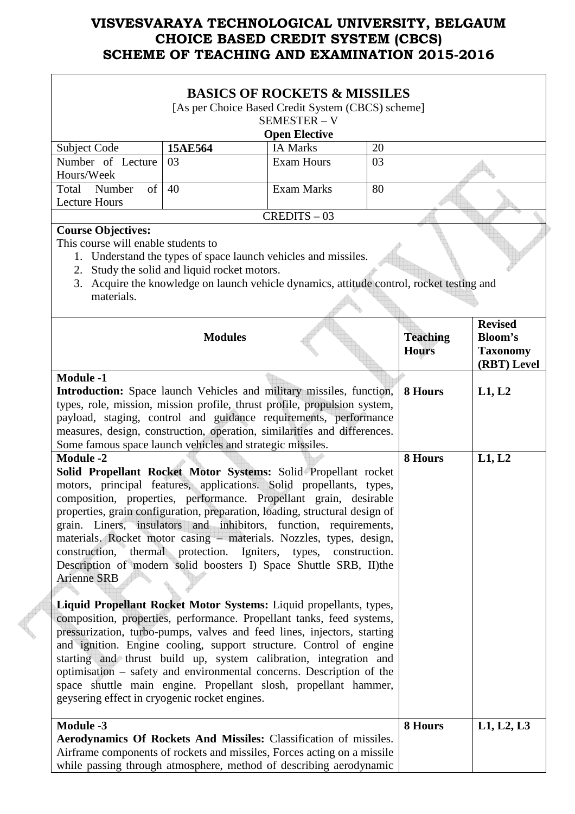|                                                                                                                                                                                                                                                                                                                                                                                                                                                                                                                                                                                                                                                                                                                                                                                                                                                                                                                                                                                                                                                                                                                                                                                                               |                                                                                                                                                                                                             | <b>BASICS OF ROCKETS &amp; MISSILES</b><br>[As per Choice Based Credit System (CBCS) scheme]<br>SEMESTER - V |    |                                 |                                                                    |
|---------------------------------------------------------------------------------------------------------------------------------------------------------------------------------------------------------------------------------------------------------------------------------------------------------------------------------------------------------------------------------------------------------------------------------------------------------------------------------------------------------------------------------------------------------------------------------------------------------------------------------------------------------------------------------------------------------------------------------------------------------------------------------------------------------------------------------------------------------------------------------------------------------------------------------------------------------------------------------------------------------------------------------------------------------------------------------------------------------------------------------------------------------------------------------------------------------------|-------------------------------------------------------------------------------------------------------------------------------------------------------------------------------------------------------------|--------------------------------------------------------------------------------------------------------------|----|---------------------------------|--------------------------------------------------------------------|
|                                                                                                                                                                                                                                                                                                                                                                                                                                                                                                                                                                                                                                                                                                                                                                                                                                                                                                                                                                                                                                                                                                                                                                                                               |                                                                                                                                                                                                             | <b>Open Elective</b>                                                                                         |    |                                 |                                                                    |
| <b>Subject Code</b>                                                                                                                                                                                                                                                                                                                                                                                                                                                                                                                                                                                                                                                                                                                                                                                                                                                                                                                                                                                                                                                                                                                                                                                           | 15AE564                                                                                                                                                                                                     | <b>IA Marks</b>                                                                                              | 20 |                                 |                                                                    |
| Number of Lecture                                                                                                                                                                                                                                                                                                                                                                                                                                                                                                                                                                                                                                                                                                                                                                                                                                                                                                                                                                                                                                                                                                                                                                                             | 03                                                                                                                                                                                                          | <b>Exam Hours</b>                                                                                            | 03 |                                 |                                                                    |
| Hours/Week                                                                                                                                                                                                                                                                                                                                                                                                                                                                                                                                                                                                                                                                                                                                                                                                                                                                                                                                                                                                                                                                                                                                                                                                    |                                                                                                                                                                                                             |                                                                                                              |    |                                 |                                                                    |
| of  <br>Total<br>Number                                                                                                                                                                                                                                                                                                                                                                                                                                                                                                                                                                                                                                                                                                                                                                                                                                                                                                                                                                                                                                                                                                                                                                                       | 40                                                                                                                                                                                                          | <b>Exam Marks</b>                                                                                            | 80 |                                 |                                                                    |
| <b>Lecture Hours</b>                                                                                                                                                                                                                                                                                                                                                                                                                                                                                                                                                                                                                                                                                                                                                                                                                                                                                                                                                                                                                                                                                                                                                                                          |                                                                                                                                                                                                             |                                                                                                              |    |                                 |                                                                    |
|                                                                                                                                                                                                                                                                                                                                                                                                                                                                                                                                                                                                                                                                                                                                                                                                                                                                                                                                                                                                                                                                                                                                                                                                               |                                                                                                                                                                                                             | $CREDITS - 03$                                                                                               |    |                                 |                                                                    |
| <b>Course Objectives:</b><br>This course will enable students to<br>materials.                                                                                                                                                                                                                                                                                                                                                                                                                                                                                                                                                                                                                                                                                                                                                                                                                                                                                                                                                                                                                                                                                                                                | 1. Understand the types of space launch vehicles and missiles.<br>2. Study the solid and liquid rocket motors.<br>3. Acquire the knowledge on launch vehicle dynamics, attitude control, rocket testing and |                                                                                                              |    |                                 |                                                                    |
| <b>Module -1</b>                                                                                                                                                                                                                                                                                                                                                                                                                                                                                                                                                                                                                                                                                                                                                                                                                                                                                                                                                                                                                                                                                                                                                                                              | <b>Modules</b>                                                                                                                                                                                              |                                                                                                              |    | <b>Teaching</b><br><b>Hours</b> | <b>Revised</b><br><b>Bloom's</b><br><b>Taxonomy</b><br>(RBT) Level |
| Introduction: Space launch Vehicles and military missiles, function,<br>types, role, mission, mission profile, thrust profile, propulsion system,<br>payload, staging, control and guidance requirements, performance<br>measures, design, construction, operation, similarities and differences.<br>Some famous space launch vehicles and strategic missiles.                                                                                                                                                                                                                                                                                                                                                                                                                                                                                                                                                                                                                                                                                                                                                                                                                                                |                                                                                                                                                                                                             |                                                                                                              |    | 8 Hours                         | L1, L2                                                             |
| <b>Module -2</b><br>Solid Propellant Rocket Motor Systems: Solid Propellant rocket<br>motors, principal features, applications. Solid propellants, types,<br>composition, properties, performance. Propellant grain, desirable<br>properties, grain configuration, preparation, loading, structural design of<br>grain. Liners, insulators and inhibitors, function, requirements,<br>materials. Rocket motor casing – materials. Nozzles, types, design,<br>construction, thermal protection. Igniters, types, construction.<br>Description of modern solid boosters I) Space Shuttle SRB, II)the<br><b>Arienne SRB</b><br>Liquid Propellant Rocket Motor Systems: Liquid propellants, types,<br>composition, properties, performance. Propellant tanks, feed systems,<br>pressurization, turbo-pumps, valves and feed lines, injectors, starting<br>and ignition. Engine cooling, support structure. Control of engine<br>starting and thrust build up, system calibration, integration and<br>optimisation – safety and environmental concerns. Description of the<br>space shuttle main engine. Propellant slosh, propellant hammer,<br>geysering effect in cryogenic rocket engines.<br><b>Module -3</b> |                                                                                                                                                                                                             |                                                                                                              |    | 8 Hours<br>8 Hours              | L1, L2<br>L1, L2, L3                                               |
| Aerodynamics Of Rockets And Missiles: Classification of missiles.<br>Airframe components of rockets and missiles, Forces acting on a missile<br>while passing through atmosphere, method of describing aerodynamic                                                                                                                                                                                                                                                                                                                                                                                                                                                                                                                                                                                                                                                                                                                                                                                                                                                                                                                                                                                            |                                                                                                                                                                                                             |                                                                                                              |    |                                 |                                                                    |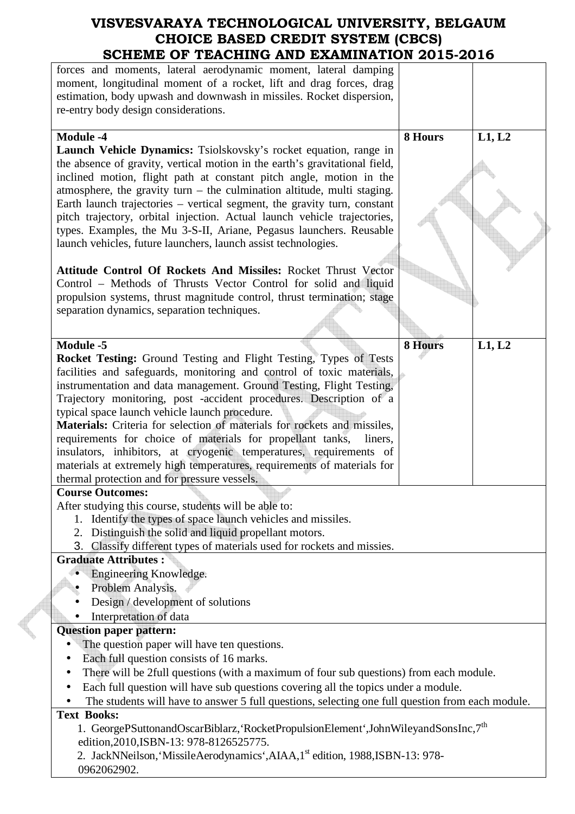| SCHEME OF TEACHING AND EAAMINATION 2015-2016                                                     |         |        |
|--------------------------------------------------------------------------------------------------|---------|--------|
| forces and moments, lateral aerodynamic moment, lateral damping                                  |         |        |
| moment, longitudinal moment of a rocket, lift and drag forces, drag                              |         |        |
| estimation, body upwash and downwash in missiles. Rocket dispersion,                             |         |        |
| re-entry body design considerations.                                                             |         |        |
|                                                                                                  |         |        |
| <b>Module -4</b>                                                                                 | 8 Hours | L1, L2 |
| Launch Vehicle Dynamics: Tsiolskovsky's rocket equation, range in                                |         |        |
| the absence of gravity, vertical motion in the earth's gravitational field,                      |         |        |
| inclined motion, flight path at constant pitch angle, motion in the                              |         |        |
| atmosphere, the gravity turn $-$ the culmination altitude, multi staging.                        |         |        |
| Earth launch trajectories – vertical segment, the gravity turn, constant                         |         |        |
| pitch trajectory, orbital injection. Actual launch vehicle trajectories,                         |         |        |
| types. Examples, the Mu 3-S-II, Ariane, Pegasus launchers. Reusable                              |         |        |
| launch vehicles, future launchers, launch assist technologies.                                   |         |        |
|                                                                                                  |         |        |
| Attitude Control Of Rockets And Missiles: Rocket Thrust Vector                                   |         |        |
| Control - Methods of Thrusts Vector Control for solid and liquid                                 |         |        |
| propulsion systems, thrust magnitude control, thrust termination; stage                          |         |        |
| separation dynamics, separation techniques.                                                      |         |        |
|                                                                                                  |         |        |
|                                                                                                  |         |        |
| <b>Module -5</b>                                                                                 | 8 Hours | L1, L2 |
| <b>Rocket Testing:</b> Ground Testing and Flight Testing, Types of Tests                         |         |        |
| facilities and safeguards, monitoring and control of toxic materials,                            |         |        |
| instrumentation and data management. Ground Testing, Flight Testing,                             |         |        |
| Trajectory monitoring, post -accident procedures. Description of a                               |         |        |
| typical space launch vehicle launch procedure.                                                   |         |        |
| Materials: Criteria for selection of materials for rockets and missiles,                         |         |        |
| requirements for choice of materials for propellant tanks,<br>liners,                            |         |        |
| insulators, inhibitors, at cryogenic temperatures, requirements of                               |         |        |
| materials at extremely high temperatures, requirements of materials for                          |         |        |
| thermal protection and for pressure vessels.                                                     |         |        |
| <b>Course Outcomes:</b>                                                                          |         |        |
| After studying this course, students will be able to:                                            |         |        |
| Identify the types of space launch vehicles and missiles.<br>1.                                  |         |        |
| Distinguish the solid and liquid propellant motors.<br>2.                                        |         |        |
| 3. Classify different types of materials used for rockets and missies.                           |         |        |
| <b>Graduate Attributes:</b>                                                                      |         |        |
| Engineering Knowledge.                                                                           |         |        |
| Problem Analysis.                                                                                |         |        |
| Design / development of solutions                                                                |         |        |
| Interpretation of data                                                                           |         |        |
| <b>Question paper pattern:</b>                                                                   |         |        |
| The question paper will have ten questions.                                                      |         |        |
| Each full question consists of 16 marks.                                                         |         |        |
| There will be 2full questions (with a maximum of four sub questions) from each module.           |         |        |
| Each full question will have sub questions covering all the topics under a module.               |         |        |
| The students will have to answer 5 full questions, selecting one full question from each module. |         |        |
| <b>Text Books:</b>                                                                               |         |        |
| 1. GeorgePSuttonandOscarBiblarz, 'RocketPropulsionElement', JohnWileyandSonsInc, 7 <sup>th</sup> |         |        |
| edition, 2010, ISBN-13: 978-8126525775.                                                          |         |        |
| 2. JackNNeilson, 'MissileAerodynamics', AIAA, 1 <sup>st</sup> edition, 1988, ISBN-13: 978-       |         |        |
|                                                                                                  |         |        |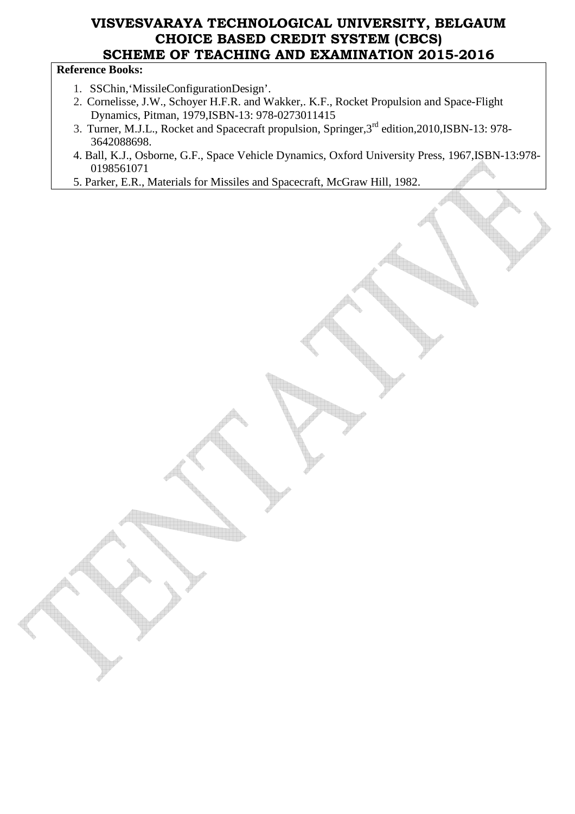#### **Reference Books:**

- 1. SSChin,'MissileConfigurationDesign'.
- 2. Cornelisse, J.W., Schoyer H.F.R. and Wakker,. K.F., Rocket Propulsion and Space-Flight Dynamics, Pitman, 1979,ISBN-13: 978-0273011415
- 3. Turner, M.J.L., Rocket and Spacecraft propulsion, Springer,3rd edition,2010,ISBN-13: 978- 3642088698.
- 4. Ball, K.J., Osborne, G.F., Space Vehicle Dynamics, Oxford University Press, 1967,ISBN-13:978- 0198561071
- 5. Parker, E.R., Materials for Missiles and Spacecraft, McGraw Hill, 1982.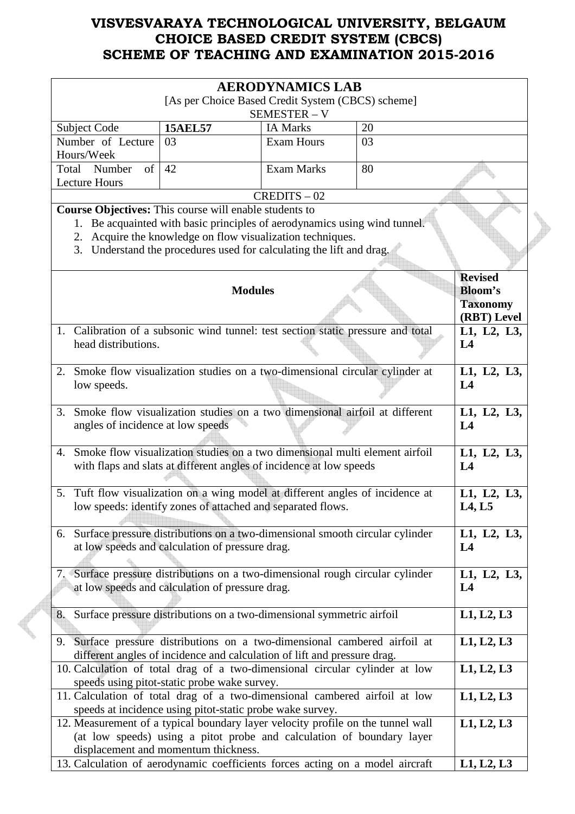|                                                                                                         |                                                                                                                                                                                                        | <b>AERODYNAMICS LAB</b>              |          |                                                                    |
|---------------------------------------------------------------------------------------------------------|--------------------------------------------------------------------------------------------------------------------------------------------------------------------------------------------------------|--------------------------------------|----------|--------------------------------------------------------------------|
|                                                                                                         | [As per Choice Based Credit System (CBCS) scheme]                                                                                                                                                      |                                      |          |                                                                    |
|                                                                                                         |                                                                                                                                                                                                        | SEMESTER - V                         |          |                                                                    |
| Subject Code<br>Number of Lecture                                                                       | <b>15AEL57</b><br>03                                                                                                                                                                                   | <b>IA Marks</b><br><b>Exam Hours</b> | 20<br>03 |                                                                    |
| Hours/Week                                                                                              |                                                                                                                                                                                                        |                                      |          |                                                                    |
| Number<br>Total<br>of                                                                                   | 42                                                                                                                                                                                                     | <b>Exam Marks</b>                    | 80       |                                                                    |
| <b>Lecture Hours</b>                                                                                    |                                                                                                                                                                                                        |                                      |          |                                                                    |
|                                                                                                         |                                                                                                                                                                                                        | $CREDITS - 02$                       |          |                                                                    |
| <b>Course Objectives:</b> This course will enable students to                                           |                                                                                                                                                                                                        |                                      |          |                                                                    |
| 1.<br>2.<br>3.                                                                                          | Be acquainted with basic principles of aerodynamics using wind tunnel.<br>Acquire the knowledge on flow visualization techniques.<br>Understand the procedures used for calculating the lift and drag. |                                      |          |                                                                    |
|                                                                                                         | <b>Modules</b>                                                                                                                                                                                         |                                      |          | <b>Revised</b><br><b>Bloom's</b><br><b>Taxonomy</b><br>(RBT) Level |
| 1. Calibration of a subsonic wind tunnel: test section static pressure and total<br>head distributions. |                                                                                                                                                                                                        |                                      |          | L1, L2, L3,<br>L4                                                  |
| 2.<br>low speeds.                                                                                       | Smoke flow visualization studies on a two-dimensional circular cylinder at                                                                                                                             |                                      |          | L1, L2, L3,<br>L4                                                  |
| 3.<br>angles of incidence at low speeds                                                                 | Smoke flow visualization studies on a two dimensional airfoil at different                                                                                                                             |                                      |          | L1, L2, L3,<br>L <sub>4</sub>                                      |
| 4.                                                                                                      | Smoke flow visualization studies on a two dimensional multi element airfoil<br>with flaps and slats at different angles of incidence at low speeds                                                     |                                      |          | L1, L2, L3,<br>L4                                                  |
| 5.                                                                                                      | Tuft flow visualization on a wing model at different angles of incidence at<br>low speeds: identify zones of attached and separated flows.                                                             |                                      |          | L1, L2, L3,<br><b>L4, L5</b>                                       |
| 6. Surface pressure distributions on a two-dimensional smooth circular cylinder                         | at low speeds and calculation of pressure drag.                                                                                                                                                        |                                      |          | L1, L2, L3,<br>L4                                                  |
| 7. Surface pressure distributions on a two-dimensional rough circular cylinder                          | at low speeds and calculation of pressure drag.                                                                                                                                                        |                                      |          | L1, L2, L3,<br>L4                                                  |
| 8.                                                                                                      | Surface pressure distributions on a two-dimensional symmetric airfoil                                                                                                                                  |                                      |          | L1, L2, L3                                                         |
| 9. Surface pressure distributions on a two-dimensional cambered airfoil at                              | different angles of incidence and calculation of lift and pressure drag.                                                                                                                               |                                      |          | L1, L2, L3                                                         |
| 10. Calculation of total drag of a two-dimensional circular cylinder at low                             | speeds using pitot-static probe wake survey.                                                                                                                                                           |                                      |          | L1, L2, L3                                                         |
| 11. Calculation of total drag of a two-dimensional cambered airfoil at low                              | speeds at incidence using pitot-static probe wake survey.                                                                                                                                              |                                      |          | L1, L2, L3                                                         |
| 12. Measurement of a typical boundary layer velocity profile on the tunnel wall                         | (at low speeds) using a pitot probe and calculation of boundary layer<br>displacement and momentum thickness.                                                                                          |                                      |          | L1, L2, L3                                                         |
| 13. Calculation of aerodynamic coefficients forces acting on a model aircraft                           |                                                                                                                                                                                                        |                                      |          | L1, L2, L3                                                         |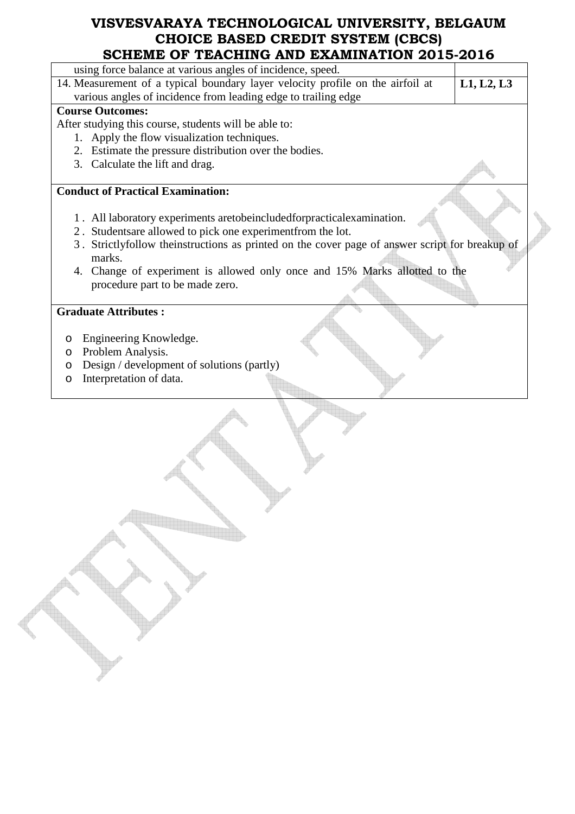| using force balance at various angles of incidence, speed.                                               |            |
|----------------------------------------------------------------------------------------------------------|------------|
| 14. Measurement of a typical boundary layer velocity profile on the airfoil at                           | L1, L2, L3 |
| various angles of incidence from leading edge to trailing edge                                           |            |
| <b>Course Outcomes:</b>                                                                                  |            |
| After studying this course, students will be able to:                                                    |            |
| 1. Apply the flow visualization techniques.                                                              |            |
| 2. Estimate the pressure distribution over the bodies.                                                   |            |
| 3. Calculate the lift and drag.                                                                          |            |
| <b>Conduct of Practical Examination:</b>                                                                 |            |
|                                                                                                          |            |
| 1. All laboratory experiments aretobeincludedforpractical examination.                                   |            |
| 2. Students are allowed to pick one experiment from the lot.                                             |            |
| 3. Strictlyfollow theinstructions as printed on the cover page of answer script for breakup of<br>marks. |            |
| 4. Change of experiment is allowed only once and 15% Marks allotted to the                               |            |
| procedure part to be made zero.                                                                          |            |
|                                                                                                          |            |
| <b>Graduate Attributes:</b>                                                                              |            |
|                                                                                                          |            |
| Engineering Knowledge.<br>O                                                                              |            |
| Problem Analysis.<br>$\circ$                                                                             |            |
| Design / development of solutions (partly)<br>$\circ$                                                    |            |
| Interpretation of data.<br>$\circ$                                                                       |            |
|                                                                                                          |            |
|                                                                                                          |            |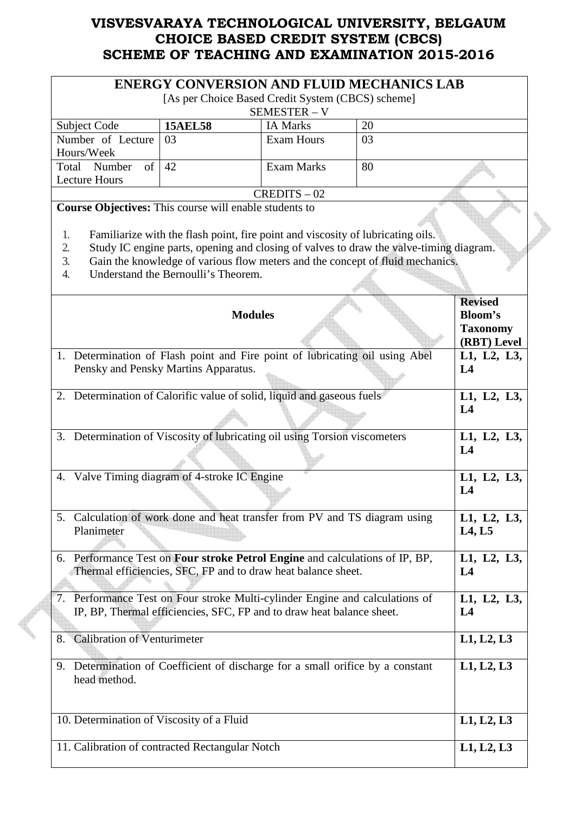| <b>ENERGY CONVERSION AND FLUID MECHANICS LAB</b>                                                                                                                                                                                                                                                                                                                                           |                                                                                                                                               |                   |             |                                                                    |
|--------------------------------------------------------------------------------------------------------------------------------------------------------------------------------------------------------------------------------------------------------------------------------------------------------------------------------------------------------------------------------------------|-----------------------------------------------------------------------------------------------------------------------------------------------|-------------------|-------------|--------------------------------------------------------------------|
| [As per Choice Based Credit System (CBCS) scheme]<br>SEMESTER - V                                                                                                                                                                                                                                                                                                                          |                                                                                                                                               |                   |             |                                                                    |
| Subject Code                                                                                                                                                                                                                                                                                                                                                                               | <b>15AEL58</b>                                                                                                                                | <b>IA Marks</b>   | 20          |                                                                    |
| Number of Lecture                                                                                                                                                                                                                                                                                                                                                                          | 03                                                                                                                                            | <b>Exam Hours</b> | 03          |                                                                    |
| Hours/Week                                                                                                                                                                                                                                                                                                                                                                                 |                                                                                                                                               |                   |             |                                                                    |
| Total Number<br>$\sigma$ f                                                                                                                                                                                                                                                                                                                                                                 | 42                                                                                                                                            | <b>Exam Marks</b> | 80          |                                                                    |
| <b>Lecture Hours</b>                                                                                                                                                                                                                                                                                                                                                                       |                                                                                                                                               |                   |             |                                                                    |
|                                                                                                                                                                                                                                                                                                                                                                                            |                                                                                                                                               | $CREDITS - 02$    |             |                                                                    |
| <b>Course Objectives:</b> This course will enable students to<br>Familiarize with the flash point, fire point and viscosity of lubricating oils.<br>1.<br>Study IC engine parts, opening and closing of valves to draw the valve-timing diagram.<br>2.<br>Gain the knowledge of various flow meters and the concept of fluid mechanics.<br>3.<br>Understand the Bernoulli's Theorem.<br>4. |                                                                                                                                               |                   |             |                                                                    |
|                                                                                                                                                                                                                                                                                                                                                                                            | <b>Modules</b>                                                                                                                                |                   |             | <b>Revised</b><br><b>Bloom's</b><br><b>Taxonomy</b><br>(RBT) Level |
|                                                                                                                                                                                                                                                                                                                                                                                            | 1. Determination of Flash point and Fire point of lubricating oil using Abel                                                                  |                   |             | L1, L2, L3,                                                        |
|                                                                                                                                                                                                                                                                                                                                                                                            | Pensky and Pensky Martins Apparatus.                                                                                                          |                   |             | L4                                                                 |
|                                                                                                                                                                                                                                                                                                                                                                                            | 2. Determination of Calorific value of solid, liquid and gaseous fuels                                                                        |                   |             | L1, L2, L3,                                                        |
|                                                                                                                                                                                                                                                                                                                                                                                            |                                                                                                                                               |                   |             | L4                                                                 |
| 3. Determination of Viscosity of lubricating oil using Torsion viscometers                                                                                                                                                                                                                                                                                                                 |                                                                                                                                               |                   | L1, L2, L3, |                                                                    |
|                                                                                                                                                                                                                                                                                                                                                                                            |                                                                                                                                               |                   |             | L4                                                                 |
| 4. Valve Timing diagram of 4-stroke IC Engine                                                                                                                                                                                                                                                                                                                                              |                                                                                                                                               |                   |             | L1, L2, L3,<br>L4                                                  |
| Planimeter                                                                                                                                                                                                                                                                                                                                                                                 | 5. Calculation of work done and heat transfer from PV and TS diagram using                                                                    |                   |             | L1, L2, L3,<br>L4, L5                                              |
|                                                                                                                                                                                                                                                                                                                                                                                            | 6. Performance Test on Four stroke Petrol Engine and calculations of IP, BP,<br>Thermal efficiencies, SFC, FP and to draw heat balance sheet. |                   |             | L1, L2, L3,<br>L <sub>4</sub>                                      |
| 7. Performance Test on Four stroke Multi-cylinder Engine and calculations of                                                                                                                                                                                                                                                                                                               | IP, BP, Thermal efficiencies, SFC, FP and to draw heat balance sheet.                                                                         |                   |             | L1, L2, L3,<br>L <sub>4</sub>                                      |
| <b>Calibration of Venturimeter</b><br>8.                                                                                                                                                                                                                                                                                                                                                   |                                                                                                                                               |                   |             | L1, L2, L3                                                         |
| head method.                                                                                                                                                                                                                                                                                                                                                                               | 9. Determination of Coefficient of discharge for a small orifice by a constant                                                                |                   |             | L1, L2, L3                                                         |
| 10. Determination of Viscosity of a Fluid                                                                                                                                                                                                                                                                                                                                                  |                                                                                                                                               |                   |             | L1, L2, L3                                                         |
|                                                                                                                                                                                                                                                                                                                                                                                            | 11. Calibration of contracted Rectangular Notch                                                                                               |                   |             | L1, L2, L3                                                         |